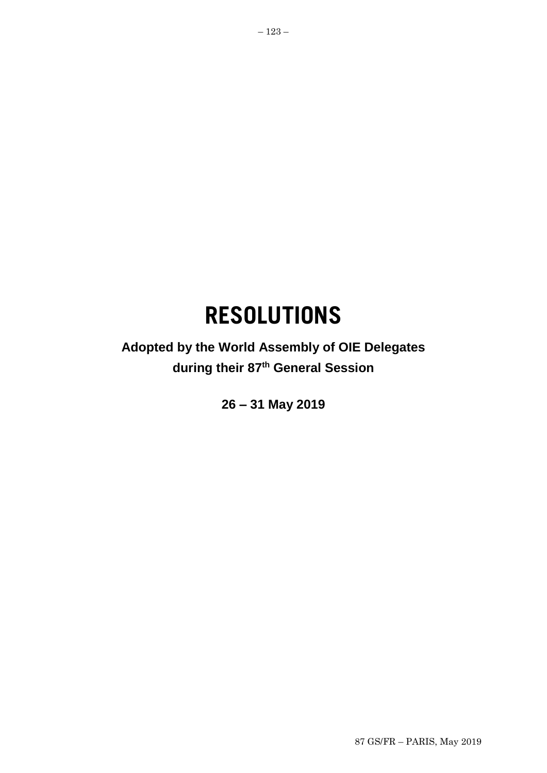# **RESOLUTIONS**

**Adopted by the World Assembly of OIE Delegates during their 87th General Session**

**26 – 31 May 2019**

87 GS/FR – PARIS, May 2019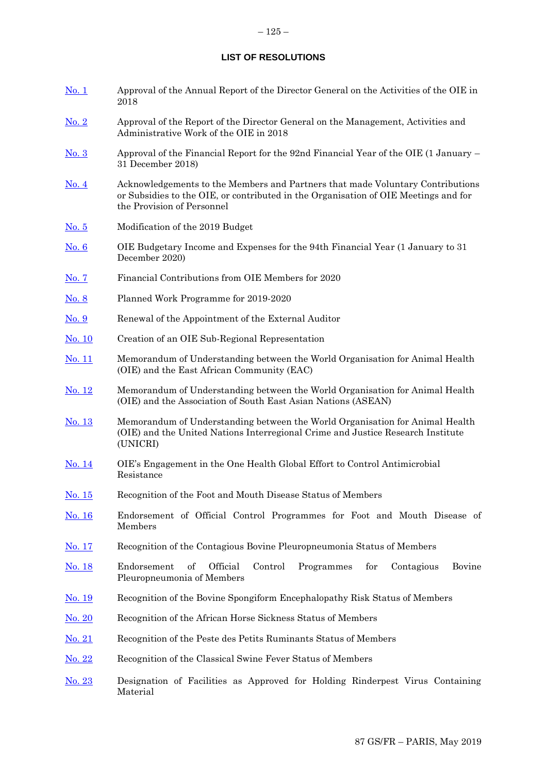## **LIST OF RESOLUTIONS**

| <u>No. 1</u>  | Approval of the Annual Report of the Director General on the Activities of the OIE in<br>2018                                                                                                       |
|---------------|-----------------------------------------------------------------------------------------------------------------------------------------------------------------------------------------------------|
| $N0$ . 2      | Approval of the Report of the Director General on the Management, Activities and<br>Administrative Work of the OIE in 2018                                                                          |
| <u>No. 3</u>  | Approval of the Financial Report for the 92nd Financial Year of the OIE (1 January –<br>31 December 2018)                                                                                           |
| <u>No. 4</u>  | Acknowledgements to the Members and Partners that made Voluntary Contributions<br>or Subsidies to the OIE, or contributed in the Organisation of OIE Meetings and for<br>the Provision of Personnel |
| No. 5         | Modification of the 2019 Budget                                                                                                                                                                     |
| <u>No. 6</u>  | OIE Budgetary Income and Expenses for the 94th Financial Year (1 January to 31)<br>December 2020)                                                                                                   |
| No. 7         | Financial Contributions from OIE Members for 2020                                                                                                                                                   |
| <u>No. 8</u>  | Planned Work Programme for 2019-2020                                                                                                                                                                |
| <u>No. 9</u>  | Renewal of the Appointment of the External Auditor                                                                                                                                                  |
| <u>No. 10</u> | Creation of an OIE Sub-Regional Representation                                                                                                                                                      |
| <u>No. 11</u> | Memorandum of Understanding between the World Organisation for Animal Health<br>(OIE) and the East African Community (EAC)                                                                          |
| <u>No. 12</u> | Memorandum of Understanding between the World Organisation for Animal Health<br>(OIE) and the Association of South East Asian Nations (ASEAN)                                                       |
| <u>No. 13</u> | Memorandum of Understanding between the World Organisation for Animal Health<br>(OIE) and the United Nations Interregional Crime and Justice Research Institute<br>(UNICRI)                         |
| <u>No. 14</u> | OIE's Engagement in the One Health Global Effort to Control Antimicrobial<br>Resistance                                                                                                             |
| <u>No. 15</u> | Recognition of the Foot and Mouth Disease Status of Members                                                                                                                                         |
| <u>No. 16</u> | Endorsement of Official Control Programmes for Foot and Mouth Disease of<br>Members                                                                                                                 |
| No. 17        | Recognition of the Contagious Bovine Pleuropneumonia Status of Members                                                                                                                              |
| No. 18        | Official<br>Control<br>Endorsement<br>οf<br>Programmes<br>for<br>Contagious<br>Bovine<br>Pleuropneumonia of Members                                                                                 |
| <u>No. 19</u> | Recognition of the Bovine Spongiform Encephalopathy Risk Status of Members                                                                                                                          |
| <u>No. 20</u> | Recognition of the African Horse Sickness Status of Members                                                                                                                                         |
| <u>No. 21</u> | Recognition of the Peste des Petits Ruminants Status of Members                                                                                                                                     |
| <u>No. 22</u> | Recognition of the Classical Swine Fever Status of Members                                                                                                                                          |
| No. 23        | Designation of Facilities as Approved for Holding Rinderpest Virus Containing<br>Material                                                                                                           |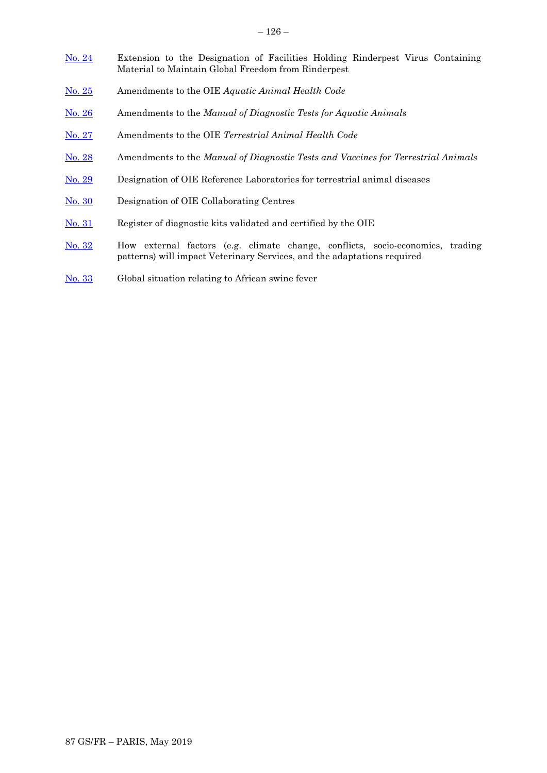- [No. 24](#page-41-0) Extension to the Designation of Facilities Holding Rinderpest Virus Containing Material to Maintain Global Freedom from Rinderpest
- [No. 25](#page-43-0) Amendments to the OIE *Aquatic Animal Health Code*
- [No. 26](#page-44-0) Amendments to the *Manual of Diagnostic Tests for Aquatic Animals*
- [No. 27](#page-45-0) Amendments to the OIE *Terrestrial Animal Health Code*
- [No. 28](#page-47-0) Amendments to the *Manual of Diagnostic Tests and Vaccines for Terrestrial Animals*
- [No. 29](#page-49-0) Designation of OIE Reference Laboratories for terrestrial animal diseases
- [No. 30](#page-51-0) Designation of OIE Collaborating Centres
- [No. 31](#page-53-0) Register of diagnostic kits validated and certified by the OIE
- [No. 32](#page-56-0) How external factors (e.g. climate change, conflicts, socio-economics, trading patterns) will impact Veterinary Services, and the adaptations required
- [No. 33](#page-58-0) Global situation relating to African swine fever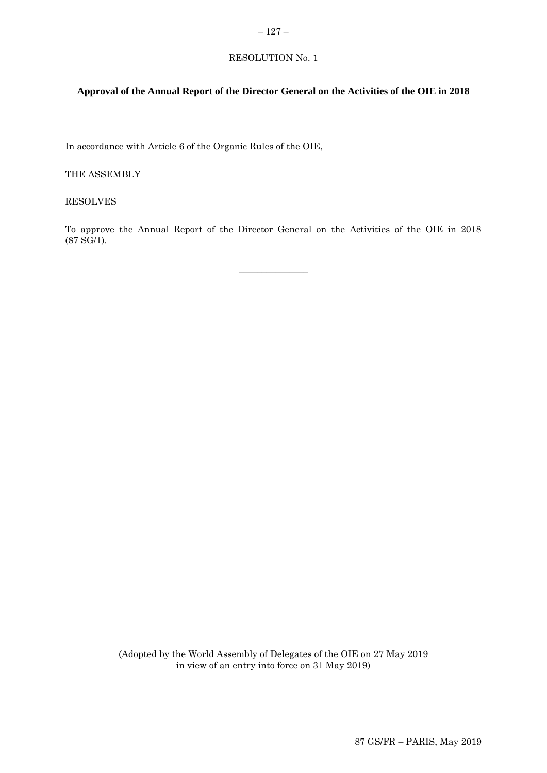## <span id="page-4-0"></span> $-127-$

# RESOLUTION No. 1

# **Approval of the Annual Report of the Director General on the Activities of the OIE in 2018**

In accordance with Article 6 of the Organic Rules of the OIE,

THE ASSEMBLY

RESOLVES

To approve the Annual Report of the Director General on the Activities of the OIE in 2018 (87 SG/1).

 $\overline{\phantom{a}}$  , where  $\overline{\phantom{a}}$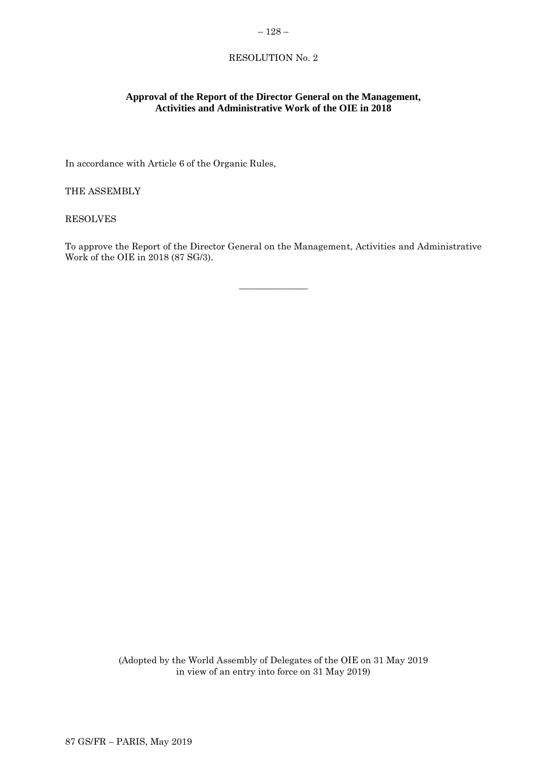# <span id="page-5-0"></span> $-128-$

# RESOLUTION No. 2

# **Approval of the Report of the Director General on the Management, Activities and Administrative Work of the OIE in 2018**

In accordance with Article 6 of the Organic Rules,

THE ASSEMBLY

RESOLVES

To approve the Report of the Director General on the Management, Activities and Administrative Work of the OIE in 2018 (87 SG/3).

 $\overline{\phantom{a}}$  , where  $\overline{\phantom{a}}$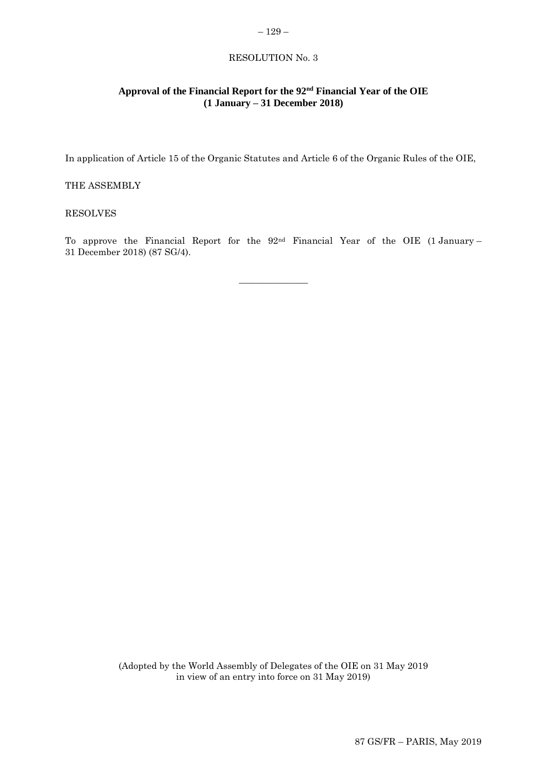## <span id="page-6-0"></span>RESOLUTION No. 3

# **Approval of the Financial Report for the 92nd Financial Year of the OIE (1 January – 31 December 2018)**

In application of Article 15 of the Organic Statutes and Article 6 of the Organic Rules of the OIE,

## THE ASSEMBLY

#### RESOLVES

To approve the Financial Report for the 92nd Financial Year of the OIE (1 January – 31 December 2018) (87 SG/4).

 $\overline{\phantom{a}}$  , where  $\overline{\phantom{a}}$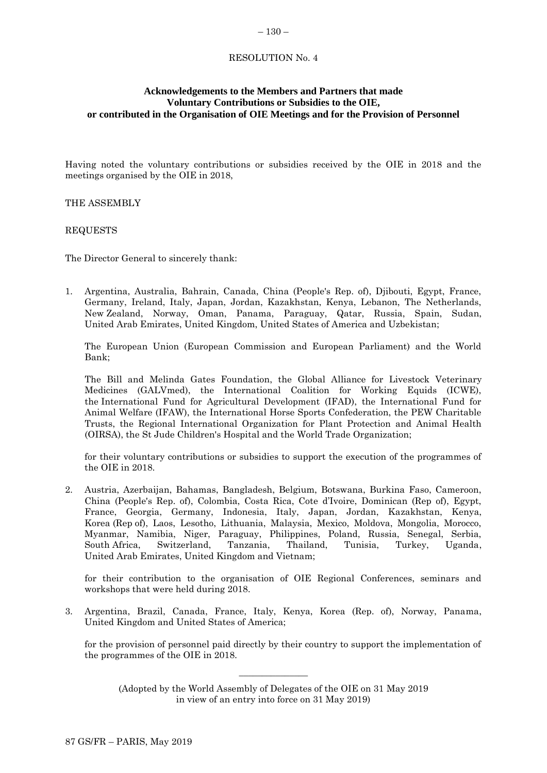#### <span id="page-7-0"></span>– 130 –

## RESOLUTION No. 4

## **Acknowledgements to the Members and Partners that made Voluntary Contributions or Subsidies to the OIE, or contributed in the Organisation of OIE Meetings and for the Provision of Personnel**

Having noted the voluntary contributions or subsidies received by the OIE in 2018 and the meetings organised by the OIE in 2018,

THE ASSEMBLY

REQUESTS

The Director General to sincerely thank:

1. Argentina, Australia, Bahrain, Canada, China (People's Rep. of), Djibouti, Egypt, France, Germany, Ireland, Italy, Japan, Jordan, Kazakhstan, Kenya, Lebanon, The Netherlands, New Zealand, Norway, Oman, Panama, Paraguay, Qatar, Russia, Spain, Sudan, United Arab Emirates, United Kingdom, United States of America and Uzbekistan;

The European Union (European Commission and European Parliament) and the World Bank;

The Bill and Melinda Gates Foundation, the Global Alliance for Livestock Veterinary Medicines (GALVmed), the International Coalition for Working Equids (ICWE), the International Fund for Agricultural Development (IFAD), the International Fund for Animal Welfare (IFAW), the International Horse Sports Confederation, the PEW Charitable Trusts, the Regional International Organization for Plant Protection and Animal Health (OIRSA), the St Jude Children's Hospital and the World Trade Organization;

for their voluntary contributions or subsidies to support the execution of the programmes of the OIE in 2018.

2. Austria, Azerbaijan, Bahamas, Bangladesh, Belgium, Botswana, Burkina Faso, Cameroon, China (People's Rep. of), Colombia, Costa Rica, Cote d'Ivoire, Dominican (Rep of), Egypt, France, Georgia, Germany, Indonesia, Italy, Japan, Jordan, Kazakhstan, Kenya, Korea (Rep of), Laos, Lesotho, Lithuania, Malaysia, Mexico, Moldova, Mongolia, Morocco, Myanmar, Namibia, Niger, Paraguay, Philippines, Poland, Russia, Senegal, Serbia, South Africa, Switzerland, Tanzania, Thailand, Tunisia, Turkey, Uganda, United Arab Emirates, United Kingdom and Vietnam;

for their contribution to the organisation of OIE Regional Conferences, seminars and workshops that were held during 2018.

3. Argentina, Brazil, Canada, France, Italy, Kenya, Korea (Rep. of), Norway, Panama, United Kingdom and United States of America;

for the provision of personnel paid directly by their country to support the implementation of the programmes of the OIE in 2018.

(Adopted by the World Assembly of Delegates of the OIE on 31 May 2019 in view of an entry into force on 31 May 2019)

 $\overline{\phantom{a}}$  , where  $\overline{\phantom{a}}$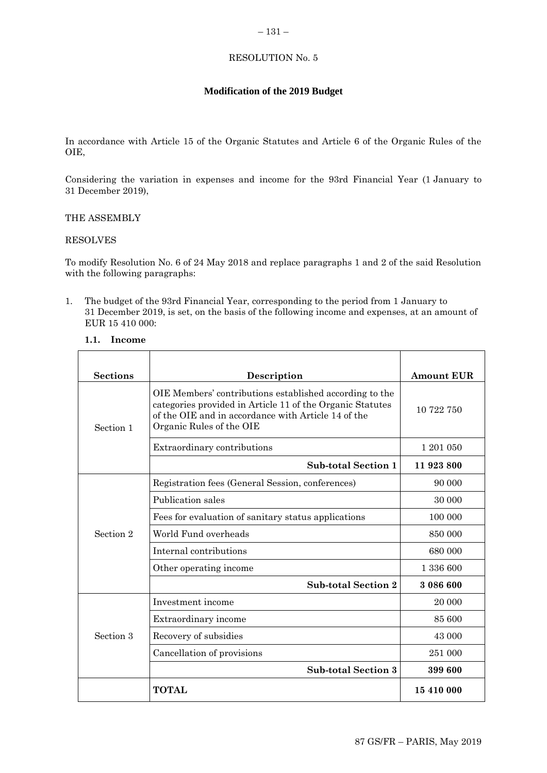# <span id="page-8-0"></span>RESOLUTION No. 5

# **Modification of the 2019 Budget**

In accordance with Article 15 of the Organic Statutes and Article 6 of the Organic Rules of the OIE,

Considering the variation in expenses and income for the 93rd Financial Year (1 January to 31 December 2019),

# THE ASSEMBLY

## RESOLVES

To modify Resolution No. 6 of 24 May 2018 and replace paragraphs 1 and 2 of the said Resolution with the following paragraphs:

1. The budget of the 93rd Financial Year, corresponding to the period from 1 January to 31 December 2019, is set, on the basis of the following income and expenses, at an amount of EUR 15 410 000:

## **1.1. Income**

| <b>Sections</b> | <b>Description</b>                                                                                                                                                                                      | <b>Amount EUR</b> |
|-----------------|---------------------------------------------------------------------------------------------------------------------------------------------------------------------------------------------------------|-------------------|
| Section 1       | OIE Members' contributions established according to the<br>categories provided in Article 11 of the Organic Statutes<br>of the OIE and in accordance with Article 14 of the<br>Organic Rules of the OIE | 10 722 750        |
|                 | Extraordinary contributions                                                                                                                                                                             | 1 201 050         |
|                 | <b>Sub-total Section 1</b>                                                                                                                                                                              | 11 923 800        |
|                 | Registration fees (General Session, conferences)                                                                                                                                                        | 90 000            |
|                 | Publication sales                                                                                                                                                                                       | 30 000            |
|                 | Fees for evaluation of sanitary status applications                                                                                                                                                     | 100 000           |
| Section 2       | World Fund overheads                                                                                                                                                                                    | 850 000           |
|                 | Internal contributions                                                                                                                                                                                  | 680 000           |
|                 | Other operating income                                                                                                                                                                                  | 1 336 600         |
|                 | <b>Sub-total Section 2</b>                                                                                                                                                                              | 3 086 600         |
|                 | Investment income                                                                                                                                                                                       | 20 000            |
|                 | Extraordinary income                                                                                                                                                                                    | 85 600            |
| Section 3       | Recovery of subsidies                                                                                                                                                                                   | 43 000            |
|                 | Cancellation of provisions                                                                                                                                                                              | 251 000           |
|                 | <b>Sub-total Section 3</b>                                                                                                                                                                              | 399 600           |
|                 | <b>TOTAL</b>                                                                                                                                                                                            | 15 410 000        |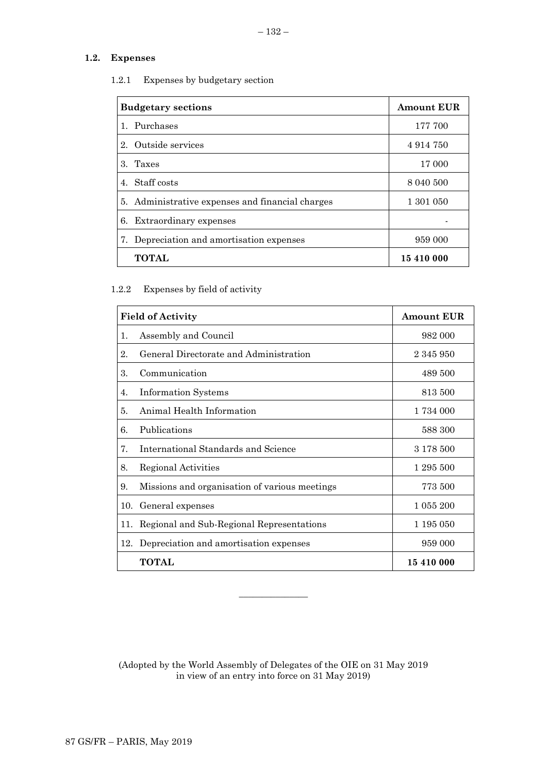# **1.2. Expenses**

| 1.2.1 |  |  | Expenses by budgetary section |  |
|-------|--|--|-------------------------------|--|
|-------|--|--|-------------------------------|--|

| <b>Budgetary sections</b>                        | <b>Amount EUR</b> |
|--------------------------------------------------|-------------------|
| 1. Purchases                                     | 177 700           |
| 2. Outside services                              | 4914750           |
| 3. Taxes                                         | 17 000            |
| 4. Staff costs                                   | 8 040 500         |
| 5. Administrative expenses and financial charges | 1 301 050         |
| 6. Extraordinary expenses                        |                   |
| 7. Depreciation and amortisation expenses        | 959 000           |
| <b>TOTAL</b>                                     | 15 410 000        |

# 1.2.2 Expenses by field of activity

| <b>Field of Activity</b> |                                               | <b>Amount EUR</b> |
|--------------------------|-----------------------------------------------|-------------------|
| 1.                       | Assembly and Council                          | 982 000           |
| 2.                       | General Directorate and Administration        | 2 345 950         |
| 3.                       | Communication                                 | 489 500           |
| 4.                       | <b>Information Systems</b>                    | 813 500           |
| 5.                       | Animal Health Information                     | 1 734 000         |
| 6.                       | Publications                                  | 588 300           |
| 7.                       | <b>International Standards and Science</b>    | 3 178 500         |
| 8.                       | Regional Activities                           | 1 295 500         |
| 9.                       | Missions and organisation of various meetings | 773 500           |
| 10.                      | General expenses                              | 1 055 200         |
| 11.                      | Regional and Sub-Regional Representations     | 1 195 050         |
| 12.                      | Depreciation and amortisation expenses        | 959 000           |
|                          | <b>TOTAL</b>                                  | 15 410 000        |

(Adopted by the World Assembly of Delegates of the OIE on 31 May 2019 in view of an entry into force on 31 May 2019)

 $\overline{\phantom{a}}$  , where  $\overline{\phantom{a}}$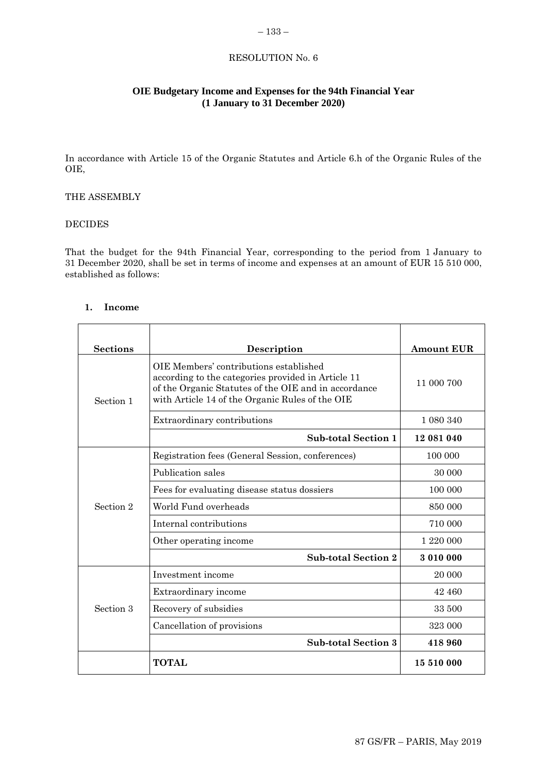## <span id="page-10-0"></span>– 133 –

# RESOLUTION No. 6

# **OIE Budgetary Income and Expenses for the 94th Financial Year (1 January to 31 December 2020)**

In accordance with Article 15 of the Organic Statutes and Article 6.h of the Organic Rules of the OIE,

## THE ASSEMBLY

## DECIDES

That the budget for the 94th Financial Year, corresponding to the period from 1 January to 31 December 2020, shall be set in terms of income and expenses at an amount of EUR 15 510 000, established as follows:

## **1. Income**

| <b>Sections</b> | Description                                                                                                                                                                                             | <b>Amount EUR</b> |
|-----------------|---------------------------------------------------------------------------------------------------------------------------------------------------------------------------------------------------------|-------------------|
| Section 1       | OIE Members' contributions established<br>according to the categories provided in Article 11<br>of the Organic Statutes of the OIE and in accordance<br>with Article 14 of the Organic Rules of the OIE | 11 000 700        |
|                 | Extraordinary contributions                                                                                                                                                                             | 1 080 340         |
|                 | <b>Sub-total Section 1</b>                                                                                                                                                                              | 12 081 040        |
|                 | Registration fees (General Session, conferences)                                                                                                                                                        | 100 000           |
|                 | Publication sales                                                                                                                                                                                       | 30 000            |
|                 | Fees for evaluating disease status dossiers                                                                                                                                                             | 100 000           |
| Section 2       | World Fund overheads                                                                                                                                                                                    | 850 000           |
|                 | Internal contributions                                                                                                                                                                                  | 710 000           |
|                 | Other operating income                                                                                                                                                                                  | 1 220 000         |
|                 | <b>Sub-total Section 2</b>                                                                                                                                                                              | 3 010 000         |
|                 | Investment income                                                                                                                                                                                       | 20 000            |
|                 | Extraordinary income                                                                                                                                                                                    | 42 460            |
| Section 3       | Recovery of subsidies                                                                                                                                                                                   | 33 500            |
|                 | Cancellation of provisions                                                                                                                                                                              | 323 000           |
|                 | <b>Sub-total Section 3</b>                                                                                                                                                                              | 418960            |
|                 | <b>TOTAL</b>                                                                                                                                                                                            | 15 510 000        |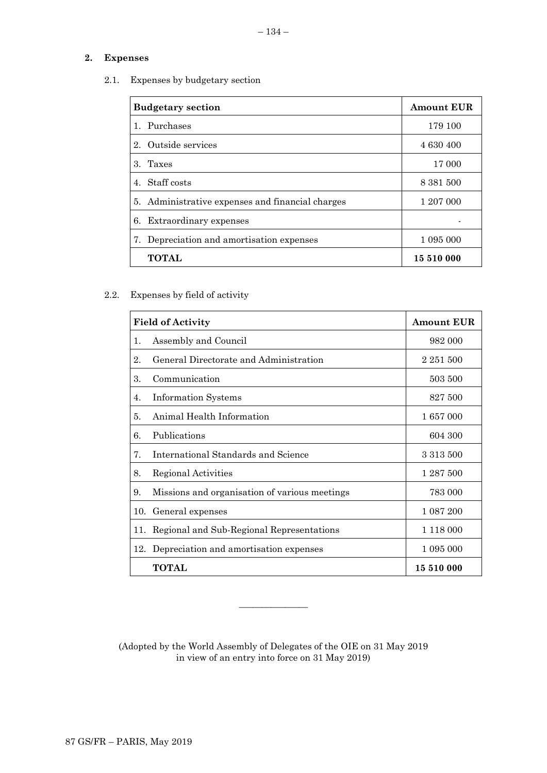# **2. Expenses**

2.1. Expenses by budgetary section

| <b>Budgetary section</b>                         | <b>Amount EUR</b> |
|--------------------------------------------------|-------------------|
| 1. Purchases                                     | 179 100           |
| Outside services<br>$2_{-}$                      | 4 630 400         |
| 3. Taxes                                         | 17 000            |
| 4. Staff costs                                   | 8 381 500         |
| 5. Administrative expenses and financial charges | 1 207 000         |
| Extraordinary expenses<br>6.                     |                   |
| Depreciation and amortisation expenses<br>7.     | 1 095 000         |
| TOTAL                                            | 15 510 000        |

2.2. Expenses by field of activity

| <b>Field of Activity</b> |                                               | <b>Amount EUR</b> |
|--------------------------|-----------------------------------------------|-------------------|
| 1.                       | Assembly and Council                          | 982 000           |
| 2.                       | General Directorate and Administration        | 2 251 500         |
| 3.                       | Communication                                 | 503 500           |
| 4.                       | <b>Information Systems</b>                    | 827 500           |
| 5.                       | Animal Health Information                     | 1 657 000         |
| 6.                       | Publications                                  | 604 300           |
| 7.                       | International Standards and Science           | 3 3 1 3 5 0 0     |
| 8.                       | Regional Activities                           | 1 287 500         |
| 9.                       | Missions and organisation of various meetings | 783 000           |
| 10.                      | General expenses                              | 1 087 200         |
| 11.                      | Regional and Sub-Regional Representations     | 1 118 000         |
|                          | 12. Depreciation and amortisation expenses    | 1 095 000         |
|                          | <b>TOTAL</b>                                  | 15 510 000        |

(Adopted by the World Assembly of Delegates of the OIE on 31 May 2019 in view of an entry into force on 31 May 2019)

\_\_\_\_\_\_\_\_\_\_\_\_\_\_\_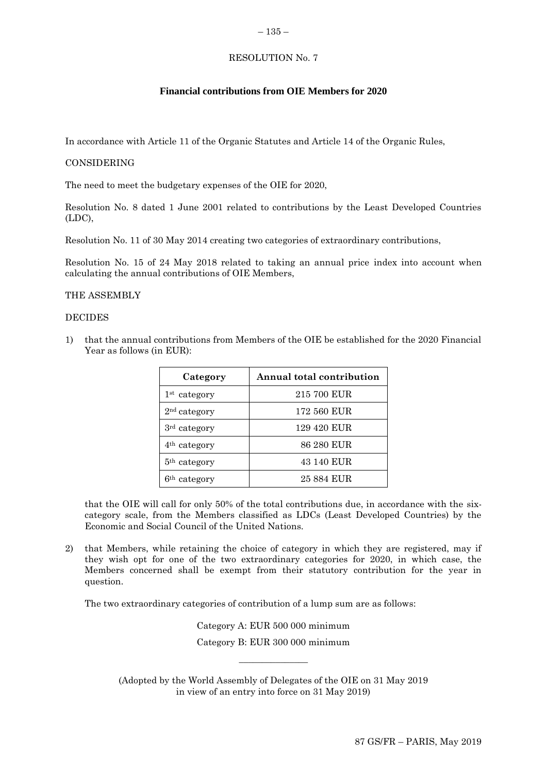#### <span id="page-12-0"></span> $-135-$

## RESOLUTION No. 7

## **Financial contributions from OIE Members for 2020**

In accordance with Article 11 of the Organic Statutes and Article 14 of the Organic Rules,

#### CONSIDERING

The need to meet the budgetary expenses of the OIE for 2020,

Resolution No. 8 dated 1 June 2001 related to contributions by the Least Developed Countries (LDC),

Resolution No. 11 of 30 May 2014 creating two categories of extraordinary contributions,

Resolution No. 15 of 24 May 2018 related to taking an annual price index into account when calculating the annual contributions of OIE Members,

## THE ASSEMBLY

#### DECIDES

1) that the annual contributions from Members of the OIE be established for the 2020 Financial Year as follows (in EUR):

| Category                 | Annual total contribution |
|--------------------------|---------------------------|
| 1 <sup>st</sup> category | 215 700 EUR               |
| 2 <sup>nd</sup> category | 172 560 EUR               |
| 3 <sup>rd</sup> category | 129 420 EUR               |
| 4 <sup>th</sup> category | 86 280 EUR                |
| 5 <sup>th</sup> category | 43 140 EUR                |
| 6 <sup>th</sup> category | 25 884 EUR                |

that the OIE will call for only 50% of the total contributions due, in accordance with the sixcategory scale, from the Members classified as LDCs (Least Developed Countries) by the Economic and Social Council of the United Nations.

2) that Members, while retaining the choice of category in which they are registered, may if they wish opt for one of the two extraordinary categories for 2020, in which case, the Members concerned shall be exempt from their statutory contribution for the year in question.

The two extraordinary categories of contribution of a lump sum are as follows:

Category A: EUR 500 000 minimum Category B: EUR 300 000 minimum

 $\overline{\phantom{a}}$  , where  $\overline{\phantom{a}}$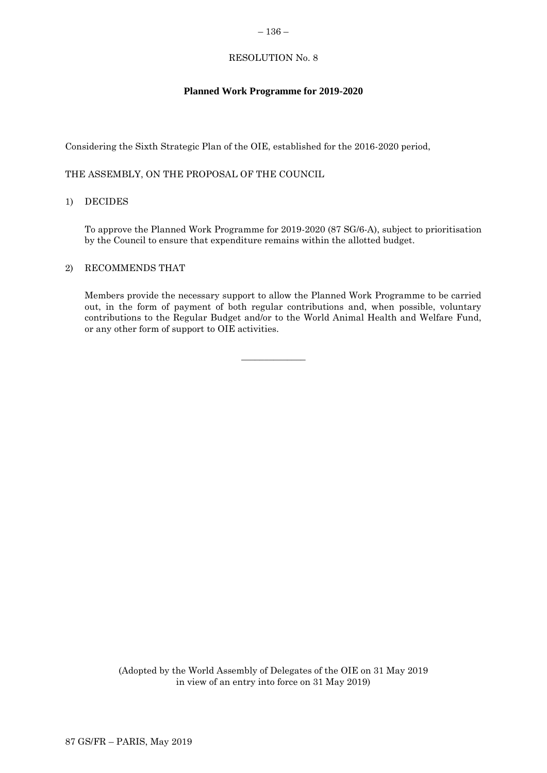## <span id="page-13-0"></span>RESOLUTION No. 8

# **Planned Work Programme for 2019-2020**

Considering the Sixth Strategic Plan of the OIE, established for the 2016-2020 period,

THE ASSEMBLY, ON THE PROPOSAL OF THE COUNCIL

## 1) DECIDES

To approve the Planned Work Programme for 2019-2020 (87 SG/6-A), subject to prioritisation by the Council to ensure that expenditure remains within the allotted budget.

## 2) RECOMMENDS THAT

Members provide the necessary support to allow the Planned Work Programme to be carried out, in the form of payment of both regular contributions and, when possible, voluntary contributions to the Regular Budget and/or to the World Animal Health and Welfare Fund, or any other form of support to OIE activities.

 $\overline{\phantom{a}}$  , where  $\overline{\phantom{a}}$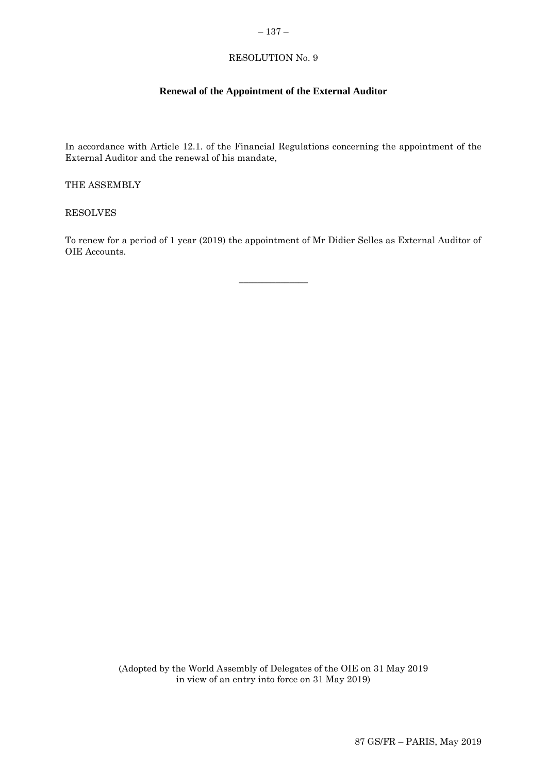# <span id="page-14-0"></span>– 137 –

# RESOLUTION No. 9

## **Renewal of the Appointment of the External Auditor**

In accordance with Article 12.1. of the Financial Regulations concerning the appointment of the External Auditor and the renewal of his mandate,

THE ASSEMBLY

RESOLVES

To renew for a period of 1 year (2019) the appointment of Mr Didier Selles as External Auditor of OIE Accounts.

 $\overline{\phantom{a}}$  , where  $\overline{\phantom{a}}$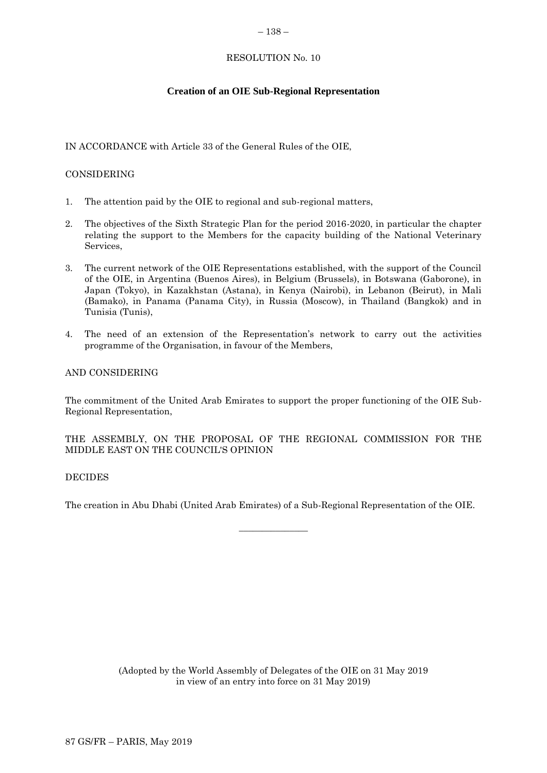#### <span id="page-15-0"></span>– 138 –

## RESOLUTION No. 10

# **Creation of an OIE Sub-Regional Representation**

# IN ACCORDANCE with Article 33 of the General Rules of the OIE,

# CONSIDERING

- 1. The attention paid by the OIE to regional and sub-regional matters,
- 2. The objectives of the Sixth Strategic Plan for the period 2016-2020, in particular the chapter relating the support to the Members for the capacity building of the National Veterinary Services,
- 3. The current network of the OIE Representations established, with the support of the Council of the OIE, in Argentina (Buenos Aires), in Belgium (Brussels), in Botswana (Gaborone), in Japan (Tokyo), in Kazakhstan (Astana), in Kenya (Nairobi), in Lebanon (Beirut), in Mali (Bamako), in Panama (Panama City), in Russia (Moscow), in Thailand (Bangkok) and in Tunisia (Tunis),
- 4. The need of an extension of the Representation's network to carry out the activities programme of the Organisation, in favour of the Members,

## AND CONSIDERING

The commitment of the United Arab Emirates to support the proper functioning of the OIE Sub-Regional Representation,

## THE ASSEMBLY, ON THE PROPOSAL OF THE REGIONAL COMMISSION FOR THE MIDDLE EAST ON THE COUNCIL'S OPINION

## DECIDES

The creation in Abu Dhabi (United Arab Emirates) of a Sub-Regional Representation of the OIE.

 $\overline{\phantom{a}}$  , where  $\overline{\phantom{a}}$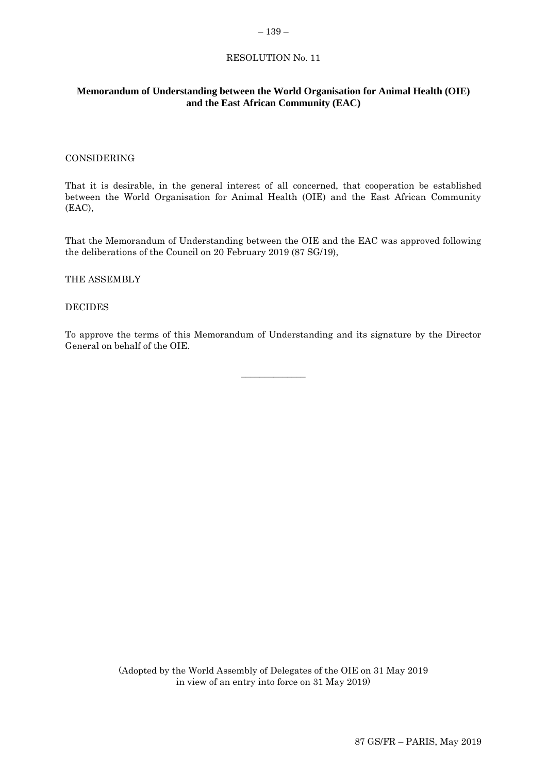#### <span id="page-16-0"></span>– 139 –

## RESOLUTION No. 11

## **Memorandum of Understanding between the World Organisation for Animal Health (OIE) and the East African Community (EAC)**

#### CONSIDERING

That it is desirable, in the general interest of all concerned, that cooperation be established between the World Organisation for Animal Health (OIE) and the East African Community (EAC),

That the Memorandum of Understanding between the OIE and the EAC was approved following the deliberations of the Council on 20 February 2019 (87 SG/19),

#### THE ASSEMBLY

#### DECIDES

To approve the terms of this Memorandum of Understanding and its signature by the Director General on behalf of the OIE.

\_\_\_\_\_\_\_\_\_\_\_\_\_\_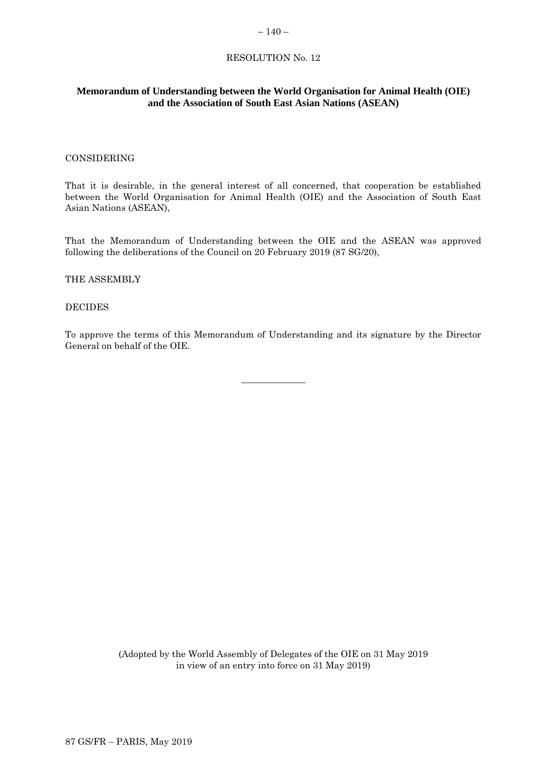#### <span id="page-17-0"></span> $-140-$

## RESOLUTION No. 12

## **Memorandum of Understanding between the World Organisation for Animal Health (OIE) and the Association of South East Asian Nations (ASEAN)**

#### CONSIDERING

That it is desirable, in the general interest of all concerned, that cooperation be established between the World Organisation for Animal Health (OIE) and the Association of South East Asian Nations (ASEAN),

That the Memorandum of Understanding between the OIE and the ASEAN was approved following the deliberations of the Council on 20 February 2019 (87 SG/20),

#### THE ASSEMBLY

### DECIDES

To approve the terms of this Memorandum of Understanding and its signature by the Director General on behalf of the OIE.

\_\_\_\_\_\_\_\_\_\_\_\_\_\_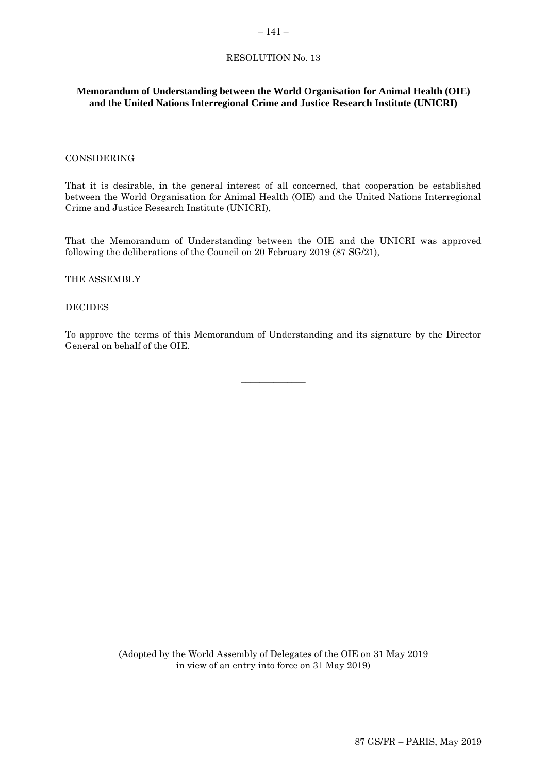## <span id="page-18-0"></span>RESOLUTION No. 13

## **Memorandum of Understanding between the World Organisation for Animal Health (OIE) and the United Nations Interregional Crime and Justice Research Institute (UNICRI)**

## CONSIDERING

That it is desirable, in the general interest of all concerned, that cooperation be established between the World Organisation for Animal Health (OIE) and the United Nations Interregional Crime and Justice Research Institute (UNICRI),

That the Memorandum of Understanding between the OIE and the UNICRI was approved following the deliberations of the Council on 20 February 2019 (87 SG/21),

#### THE ASSEMBLY

### DECIDES

To approve the terms of this Memorandum of Understanding and its signature by the Director General on behalf of the OIE.

\_\_\_\_\_\_\_\_\_\_\_\_\_\_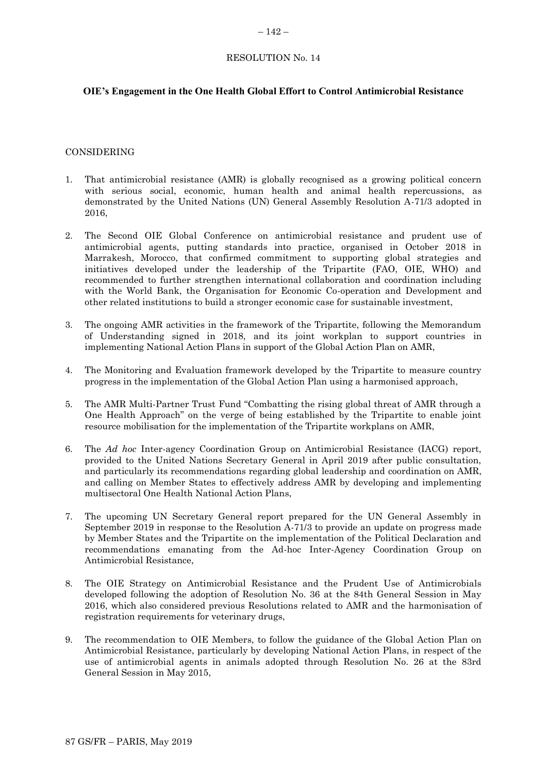## <span id="page-19-0"></span>RESOLUTION No. 14

## **OIE's Engagement in the One Health Global Effort to Control Antimicrobial Resistance**

#### CONSIDERING

- 1. That antimicrobial resistance (AMR) is globally recognised as a growing political concern with serious social, economic, human health and animal health repercussions, as demonstrated by the United Nations (UN) General Assembly Resolution A-71/3 adopted in 2016,
- 2. The Second OIE Global Conference on antimicrobial resistance and prudent use of antimicrobial agents, putting standards into practice, organised in October 2018 in Marrakesh, Morocco, that confirmed commitment to supporting global strategies and initiatives developed under the leadership of the Tripartite (FAO, OIE, WHO) and recommended to further strengthen international collaboration and coordination including with the World Bank, the Organisation for Economic Co-operation and Development and other related institutions to build a stronger economic case for sustainable investment,
- 3. The ongoing AMR activities in the framework of the Tripartite, following the Memorandum of Understanding signed in 2018, and its joint workplan to support countries in implementing National Action Plans in support of the Global Action Plan on AMR,
- 4. The Monitoring and Evaluation framework developed by the Tripartite to measure country progress in the implementation of the Global Action Plan using a harmonised approach,
- 5. The AMR Multi-Partner Trust Fund "Combatting the rising global threat of AMR through a One Health Approach" on the verge of being established by the Tripartite to enable joint resource mobilisation for the implementation of the Tripartite workplans on AMR,
- 6. The *Ad hoc* Inter-agency Coordination Group on Antimicrobial Resistance (IACG) report, provided to the United Nations Secretary General in April 2019 after public consultation, and particularly its recommendations regarding global leadership and coordination on AMR, and calling on Member States to effectively address AMR by developing and implementing multisectoral One Health National Action Plans,
- 7. The upcoming UN Secretary General report prepared for the UN General Assembly in September 2019 in response to the Resolution A-71/3 to provide an update on progress made by Member States and the Tripartite on the implementation of the Political Declaration and recommendations emanating from the Ad-hoc Inter-Agency Coordination Group on Antimicrobial Resistance,
- 8. The OIE Strategy on Antimicrobial Resistance and the Prudent Use of Antimicrobials developed following the adoption of Resolution No. 36 at the 84th General Session in May 2016, which also considered previous Resolutions related to AMR and the harmonisation of registration requirements for veterinary drugs,
- 9. The recommendation to OIE Members, to follow the guidance of the Global Action Plan on Antimicrobial Resistance, particularly by developing National Action Plans, in respect of the use of antimicrobial agents in animals adopted through Resolution No. 26 at the 83rd General Session in May 2015,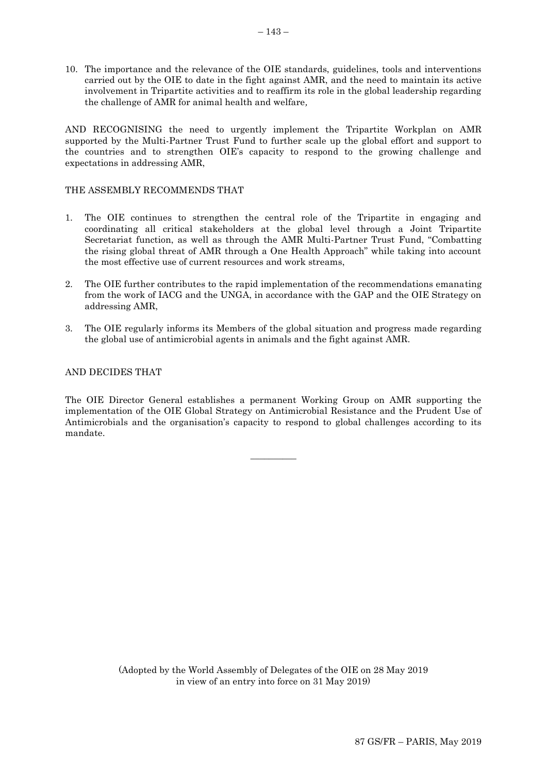10. The importance and the relevance of the OIE standards, guidelines, tools and interventions carried out by the OIE to date in the fight against AMR, and the need to maintain its active involvement in Tripartite activities and to reaffirm its role in the global leadership regarding the challenge of AMR for animal health and welfare*,*

AND RECOGNISING the need to urgently implement the Tripartite Workplan on AMR supported by the Multi-Partner Trust Fund to further scale up the global effort and support to the countries and to strengthen OIE's capacity to respond to the growing challenge and expectations in addressing AMR,

## THE ASSEMBLY RECOMMENDS THAT

- 1. The OIE continues to strengthen the central role of the Tripartite in engaging and coordinating all critical stakeholders at the global level through a Joint Tripartite Secretariat function, as well as through the AMR Multi-Partner Trust Fund, "Combatting the rising global threat of AMR through a One Health Approach" while taking into account the most effective use of current resources and work streams,
- 2. The OIE further contributes to the rapid implementation of the recommendations emanating from the work of IACG and the UNGA, in accordance with the GAP and the OIE Strategy on addressing AMR,
- 3. The OIE regularly informs its Members of the global situation and progress made regarding the global use of antimicrobial agents in animals and the fight against AMR.

## AND DECIDES THAT

The OIE Director General establishes a permanent Working Group on AMR supporting the implementation of the OIE Global Strategy on Antimicrobial Resistance and the Prudent Use of Antimicrobials and the organisation's capacity to respond to global challenges according to its mandate.

 $\overline{\phantom{a}}$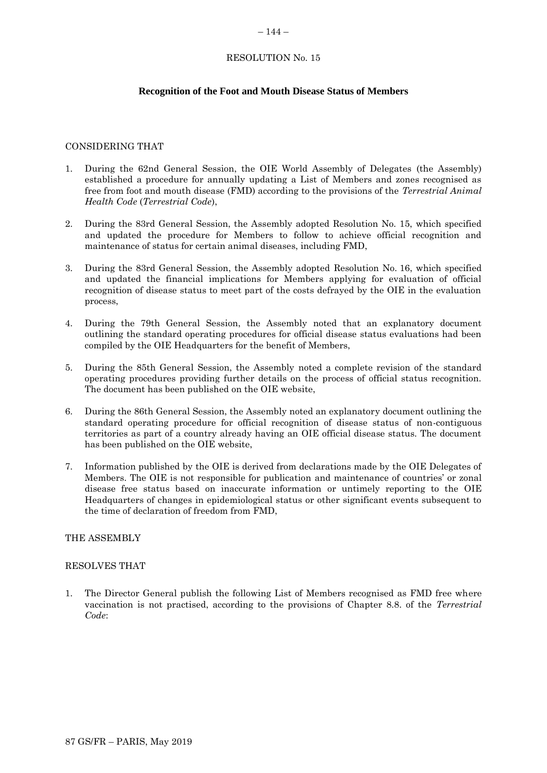#### <span id="page-21-0"></span> $-144-$

# RESOLUTION No. 15

# **Recognition of the Foot and Mouth Disease Status of Members**

## CONSIDERING THAT

- 1. During the 62nd General Session, the OIE World Assembly of Delegates (the Assembly) established a procedure for annually updating a List of Members and zones recognised as free from foot and mouth disease (FMD) according to the provisions of the *Terrestrial Animal Health Code* (*Terrestrial Code*),
- 2. During the 83rd General Session, the Assembly adopted Resolution No. 15, which specified and updated the procedure for Members to follow to achieve official recognition and maintenance of status for certain animal diseases, including FMD,
- 3. During the 83rd General Session, the Assembly adopted Resolution No. 16, which specified and updated the financial implications for Members applying for evaluation of official recognition of disease status to meet part of the costs defrayed by the OIE in the evaluation process,
- 4. During the 79th General Session, the Assembly noted that an explanatory document outlining the standard operating procedures for official disease status evaluations had been compiled by the OIE Headquarters for the benefit of Members,
- 5. During the 85th General Session, the Assembly noted a complete revision of the standard operating procedures providing further details on the process of official status recognition. The document has been published on the OIE website,
- 6. During the 86th General Session, the Assembly noted an explanatory document outlining the standard operating procedure for official recognition of disease status of non-contiguous territories as part of a country already having an OIE official disease status. The document has been published on the OIE website,
- 7. Information published by the OIE is derived from declarations made by the OIE Delegates of Members. The OIE is not responsible for publication and maintenance of countries' or zonal disease free status based on inaccurate information or untimely reporting to the OIE Headquarters of changes in epidemiological status or other significant events subsequent to the time of declaration of freedom from FMD,

#### THE ASSEMBLY

#### RESOLVES THAT

1. The Director General publish the following List of Members recognised as FMD free where vaccination is not practised, according to the provisions of Chapter 8.8. of the *Terrestrial Code*: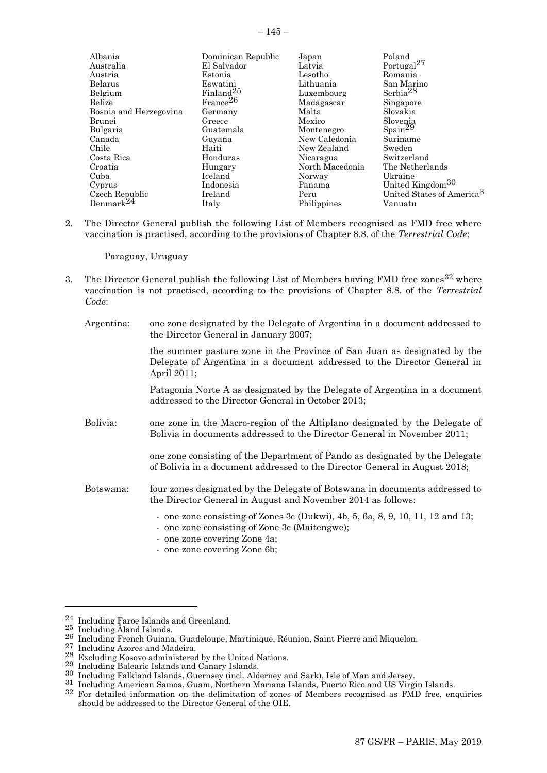| Albania                | Dominican Republic    | Japan           | Poland                                |
|------------------------|-----------------------|-----------------|---------------------------------------|
| Australia              | El Salvador           | Latvia          | Portugal <sup>27</sup>                |
| Austria                | Estonia               | Lesotho         | Romania                               |
| Belarus                | Eswatini              | Lithuania       | San Marino                            |
| Belgium                | Finland <sup>25</sup> | Luxembourg      | Serbia $^{28}$                        |
| <b>Belize</b>          | $\text{France}^{26}$  | Madagascar      | Singapore                             |
| Bosnia and Herzegovina | Germany               | Malta           | Slovakia                              |
| Brunei                 | Greece                | Mexico          | Slovenia                              |
| Bulgaria               | Guatemala             | Montenegro      | $\text{Span}^{29}$                    |
| Canada                 | Guyana                | New Caledonia   | Suriname                              |
| Chile                  | Haiti                 | New Zealand     | Sweden                                |
| Costa Rica             | Honduras              | Nicaragua       | Switzerland                           |
| Croatia                | Hungary               | North Macedonia | The Netherlands                       |
| Cuba                   | Iceland               | Norway          | Ukraine                               |
| Cyprus                 | Indonesia             | Panama          | United Kingdom <sup>30</sup>          |
| Czech Republic         | Ireland               | Peru            | United States of America <sup>3</sup> |
| Denmark $^{24}$        | Italy                 | Philippines     | Vanuatu                               |

2. The Director General publish the following List of Members recognised as FMD free where vaccination is practised, according to the provisions of Chapter 8.8. of the *Terrestrial Code*:

Paraguay, Uruguay

- 3. The Director General publish the following List of Members having FMD free zones  $32$  where vaccination is not practised, according to the provisions of Chapter 8.8. of the *Terrestrial Code*:
	- Argentina: one zone designated by the Delegate of Argentina in a document addressed to the Director General in January 2007;

the summer pasture zone in the Province of San Juan as designated by the Delegate of Argentina in a document addressed to the Director General in April 2011;

Patagonia Norte A as designated by the Delegate of Argentina in a document addressed to the Director General in October 2013;

Bolivia: one zone in the Macro-region of the Altiplano designated by the Delegate of Bolivia in documents addressed to the Director General in November 2011;

> one zone consisting of the Department of Pando as designated by the Delegate of Bolivia in a document addressed to the Director General in August 2018;

- Botswana: four zones designated by the Delegate of Botswana in documents addressed to the Director General in August and November 2014 as follows:
	- one zone consisting of Zones 3c (Dukwi), 4b, 5, 6a, 8, 9, 10, 11, 12 and 13;
	- one zone consisting of Zone 3c (Maitengwe);
	- one zone covering Zone 4a;
	- one zone covering Zone 6b;

l

<sup>24</sup> Including Faroe Islands and Greenland.

<sup>25</sup> Including Åland Islands.

<sup>26</sup> Including French Guiana, Guadeloupe, Martinique, Réunion, Saint Pierre and Miquelon.

<sup>27</sup> Including Azores and Madeira.

<sup>28</sup> Excluding Kosovo administered by the United Nations.

<sup>29</sup> Including Balearic Islands and Canary Islands.

<sup>30</sup> Including Falkland Islands, Guernsey (incl. Alderney and Sark), Isle of Man and Jersey.

<sup>31</sup> Including American Samoa, Guam, Northern Mariana Islands, Puerto Rico and US Virgin Islands.

<sup>32</sup> For detailed information on the delimitation of zones of Members recognised as FMD free, enquiries should be addressed to the Director General of the OIE.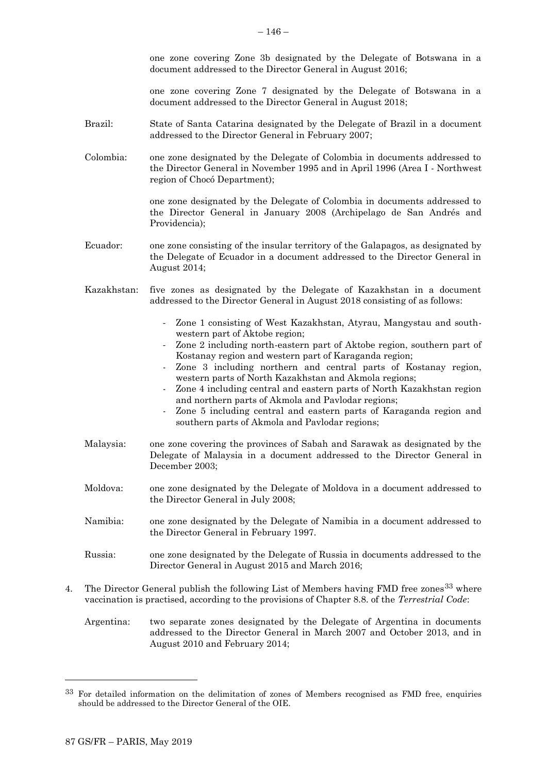one zone covering Zone 3b designated by the Delegate of Botswana in a document addressed to the Director General in August 2016;

one zone covering Zone 7 designated by the Delegate of Botswana in a document addressed to the Director General in August 2018;

- Brazil: State of Santa Catarina designated by the Delegate of Brazil in a document addressed to the Director General in February 2007;
- Colombia: one zone designated by the Delegate of Colombia in documents addressed to the Director General in November 1995 and in April 1996 (Area I - Northwest region of Chocó Department);

one zone designated by the Delegate of Colombia in documents addressed to the Director General in January 2008 (Archipelago de San Andrés and Providencia);

- Ecuador: one zone consisting of the insular territory of the Galapagos, as designated by the Delegate of Ecuador in a document addressed to the Director General in August 2014;
- Kazakhstan: five zones as designated by the Delegate of Kazakhstan in a document addressed to the Director General in August 2018 consisting of as follows:
	- Zone 1 consisting of West Kazakhstan, Atyrau, Mangystau and southwestern part of Aktobe region;
	- Zone 2 including north-eastern part of Aktobe region, southern part of Kostanay region and western part of Karaganda region;
	- Zone 3 including northern and central parts of Kostanay region, western parts of North Kazakhstan and Akmola regions;
	- Zone 4 including central and eastern parts of North Kazakhstan region and northern parts of Akmola and Pavlodar regions;
	- Zone 5 including central and eastern parts of Karaganda region and southern parts of Akmola and Pavlodar regions;
- Malaysia: one zone covering the provinces of Sabah and Sarawak as designated by the Delegate of Malaysia in a document addressed to the Director General in December 2003;
- Moldova: one zone designated by the Delegate of Moldova in a document addressed to the Director General in July 2008;
- Namibia: one zone designated by the Delegate of Namibia in a document addressed to the Director General in February 1997.
- Russia: one zone designated by the Delegate of Russia in documents addressed to the Director General in August 2015 and March 2016;
- 4. The Director General publish the following List of Members having FMD free zones<sup>33</sup> where vaccination is practised, according to the provisions of Chapter 8.8. of the *Terrestrial Code*:
	- Argentina: two separate zones designated by the Delegate of Argentina in documents addressed to the Director General in March 2007 and October 2013, and in August 2010 and February 2014;

l

 $33$  For detailed information on the delimitation of zones of Members recognised as FMD free, enquiries should be addressed to the Director General of the OIE.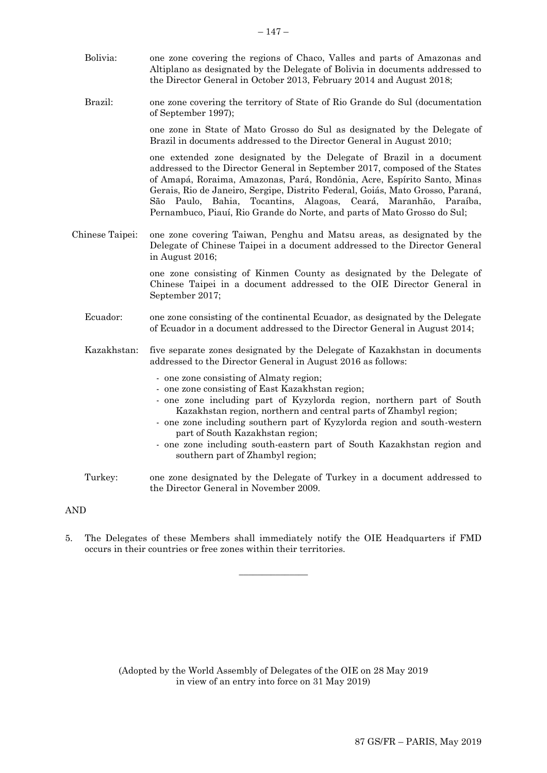of September 1997);

one zone in State of Mato Grosso do Sul as designated by the Delegate of Brazil in documents addressed to the Director General in August 2010;

one extended zone designated by the Delegate of Brazil in a document addressed to the Director General in September 2017, composed of the States of Amapá, Roraima, Amazonas, Pará, Rondônia, Acre, Espírito Santo, Minas Gerais, Rio de Janeiro, Sergipe, Distrito Federal, Goiás, Mato Grosso, Paraná, São Paulo, Bahia, Tocantins, Alagoas, Ceará, Maranhão, Paraíba, Pernambuco, Piauí, Rio Grande do Norte, and parts of Mato Grosso do Sul;

Chinese Taipei: one zone covering Taiwan, Penghu and Matsu areas, as designated by the Delegate of Chinese Taipei in a document addressed to the Director General in August 2016;

> one zone consisting of Kinmen County as designated by the Delegate of Chinese Taipei in a document addressed to the OIE Director General in September 2017;

- Ecuador: one zone consisting of the continental Ecuador, as designated by the Delegate of Ecuador in a document addressed to the Director General in August 2014;
- Kazakhstan: five separate zones designated by the Delegate of Kazakhstan in documents addressed to the Director General in August 2016 as follows:
	- one zone consisting of Almaty region;
	- one zone consisting of East Kazakhstan region;
	- one zone including part of Kyzylorda region, northern part of South Kazakhstan region, northern and central parts of Zhambyl region;
	- one zone including southern part of Kyzylorda region and south-western part of South Kazakhstan region;
	- one zone including south-eastern part of South Kazakhstan region and southern part of Zhambyl region;
- Turkey: one zone designated by the Delegate of Turkey in a document addressed to the Director General in November 2009.

## AND

5. The Delegates of these Members shall immediately notify the OIE Headquarters if FMD occurs in their countries or free zones within their territories.

 $\overline{\phantom{a}}$  , where  $\overline{\phantom{a}}$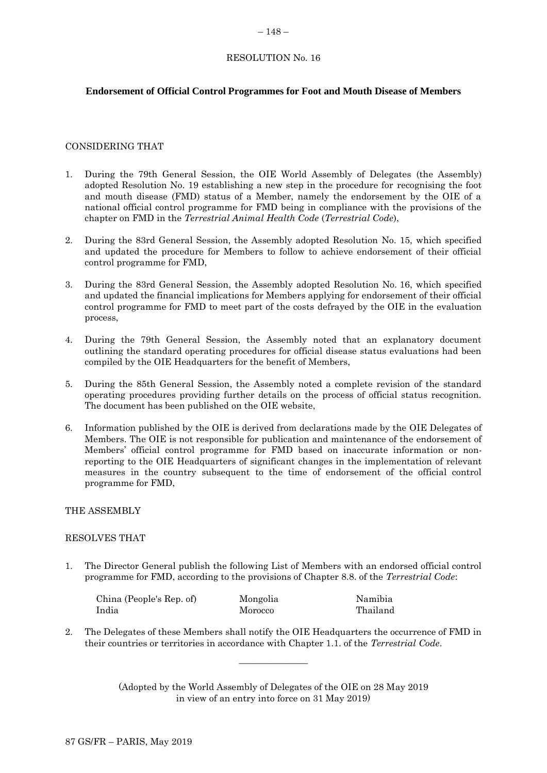## <span id="page-25-0"></span>RESOLUTION No. 16

## **Endorsement of Official Control Programmes for Foot and Mouth Disease of Members**

## CONSIDERING THAT

- 1. During the 79th General Session, the OIE World Assembly of Delegates (the Assembly) adopted Resolution No. 19 establishing a new step in the procedure for recognising the foot and mouth disease (FMD) status of a Member, namely the endorsement by the OIE of a national official control programme for FMD being in compliance with the provisions of the chapter on FMD in the *Terrestrial Animal Health Code* (*Terrestrial Code*),
- 2. During the 83rd General Session, the Assembly adopted Resolution No. 15, which specified and updated the procedure for Members to follow to achieve endorsement of their official control programme for FMD,
- 3. During the 83rd General Session, the Assembly adopted Resolution No. 16, which specified and updated the financial implications for Members applying for endorsement of their official control programme for FMD to meet part of the costs defrayed by the OIE in the evaluation process,
- 4. During the 79th General Session, the Assembly noted that an explanatory document outlining the standard operating procedures for official disease status evaluations had been compiled by the OIE Headquarters for the benefit of Members,
- 5. During the 85th General Session, the Assembly noted a complete revision of the standard operating procedures providing further details on the process of official status recognition. The document has been published on the OIE website,
- 6. Information published by the OIE is derived from declarations made by the OIE Delegates of Members. The OIE is not responsible for publication and maintenance of the endorsement of Members' official control programme for FMD based on inaccurate information or nonreporting to the OIE Headquarters of significant changes in the implementation of relevant measures in the country subsequent to the time of endorsement of the official control programme for FMD,

## THE ASSEMBLY

#### RESOLVES THAT

1. The Director General publish the following List of Members with an endorsed official control programme for FMD, according to the provisions of Chapter 8.8. of the *Terrestrial Code*:

| China (People's Rep. of) | Mongolia | Namibia  |
|--------------------------|----------|----------|
| India                    | Morocco  | Thailand |

2. The Delegates of these Members shall notify the OIE Headquarters the occurrence of FMD in their countries or territories in accordance with Chapter 1.1. of the *Terrestrial Code*.

 $\overline{\phantom{a}}$  , where  $\overline{\phantom{a}}$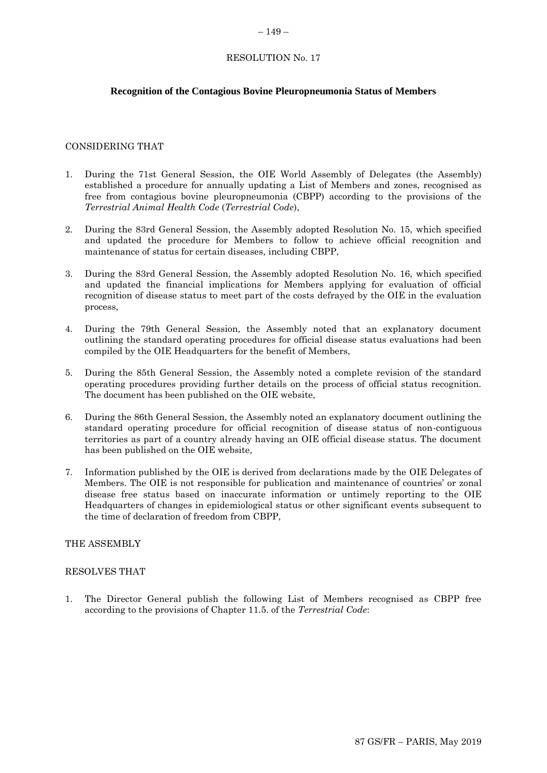#### <span id="page-26-0"></span> $-149-$

## RESOLUTION No. 17

## **Recognition of the Contagious Bovine Pleuropneumonia Status of Members**

#### CONSIDERING THAT

- 1. During the 71st General Session, the OIE World Assembly of Delegates (the Assembly) established a procedure for annually updating a List of Members and zones, recognised as free from contagious bovine pleuropneumonia (CBPP) according to the provisions of the *Terrestrial Animal Health Code* (*Terrestrial Code*),
- 2. During the 83rd General Session, the Assembly adopted Resolution No. 15, which specified and updated the procedure for Members to follow to achieve official recognition and maintenance of status for certain diseases, including CBPP,
- 3. During the 83rd General Session, the Assembly adopted Resolution No. 16, which specified and updated the financial implications for Members applying for evaluation of official recognition of disease status to meet part of the costs defrayed by the OIE in the evaluation process,
- 4. During the 79th General Session, the Assembly noted that an explanatory document outlining the standard operating procedures for official disease status evaluations had been compiled by the OIE Headquarters for the benefit of Members,
- 5. During the 85th General Session, the Assembly noted a complete revision of the standard operating procedures providing further details on the process of official status recognition. The document has been published on the OIE website,
- 6. During the 86th General Session, the Assembly noted an explanatory document outlining the standard operating procedure for official recognition of disease status of non-contiguous territories as part of a country already having an OIE official disease status. The document has been published on the OIE website,
- 7. Information published by the OIE is derived from declarations made by the OIE Delegates of Members. The OIE is not responsible for publication and maintenance of countries' or zonal disease free status based on inaccurate information or untimely reporting to the OIE Headquarters of changes in epidemiological status or other significant events subsequent to the time of declaration of freedom from CBPP,

#### THE ASSEMBLY

#### RESOLVES THAT

1. The Director General publish the following List of Members recognised as CBPP free according to the provisions of Chapter 11.5. of the *Terrestrial Code*: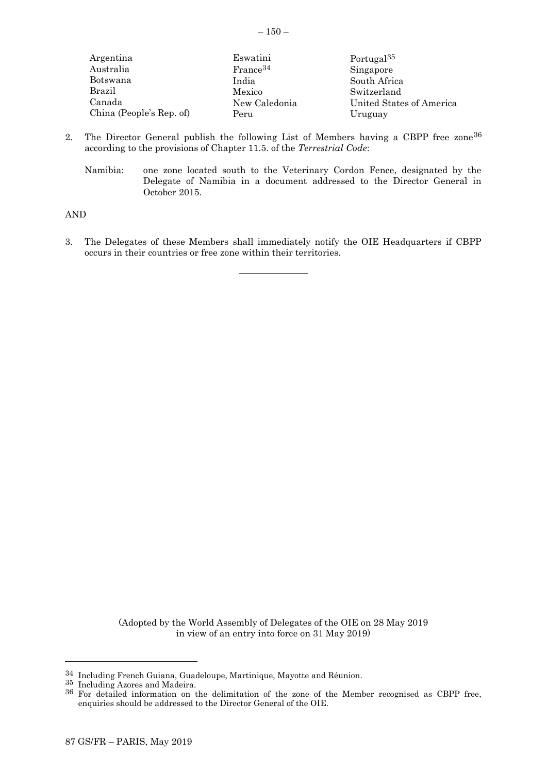| Argentina                | Eswatini             | Portugal <sup>35</sup>   |
|--------------------------|----------------------|--------------------------|
| Australia                | France <sup>34</sup> | Singapore                |
| Botswana                 | India                | South Africa             |
| Brazil                   | Mexico               | Switzerland              |
| Canada                   | New Caledonia        | United States of America |
| China (People's Rep. of) | Peru                 | Uruguay                  |

- 2. The Director General publish the following List of Members having a CBPP free zone<sup>36</sup> according to the provisions of Chapter 11.5. of the *Terrestrial Code*:
	- Namibia: one zone located south to the Veterinary Cordon Fence, designated by the Delegate of Namibia in a document addressed to the Director General in October 2015.

AND

3. The Delegates of these Members shall immediately notify the OIE Headquarters if CBPP occurs in their countries or free zone within their territories.

 $\overline{\phantom{a}}$  , where  $\overline{\phantom{a}}$ 

(Adopted by the World Assembly of Delegates of the OIE on 28 May 2019 in view of an entry into force on 31 May 2019)

l

 $34$  Including French Guiana, Guadeloupe, Martinique, Mayotte and Réunion.

<sup>35</sup> Including Azores and Madeira.

<sup>&</sup>lt;sup>36</sup> For detailed information on the delimitation of the zone of the Member recognised as CBPP free, enquiries should be addressed to the Director General of the OIE.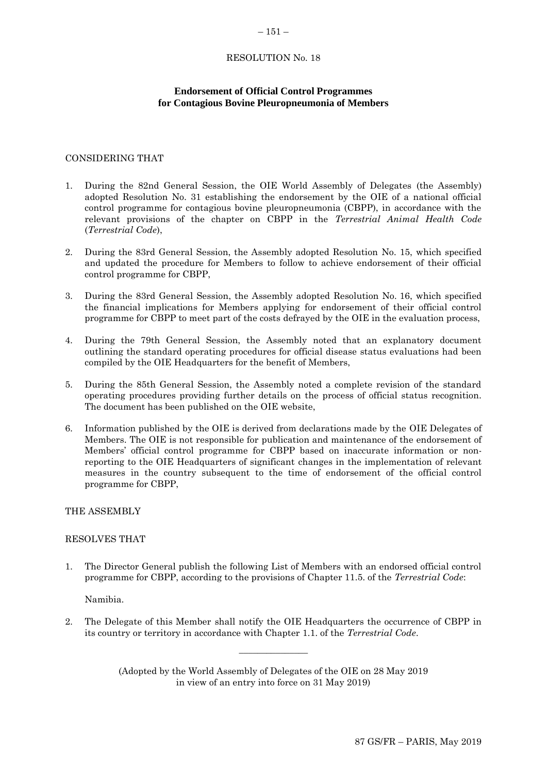#### <span id="page-28-0"></span> $-151-$

#### RESOLUTION No. 18

## **Endorsement of Official Control Programmes for Contagious Bovine Pleuropneumonia of Members**

# CONSIDERING THAT

- 1. During the 82nd General Session, the OIE World Assembly of Delegates (the Assembly) adopted Resolution No. 31 establishing the endorsement by the OIE of a national official control programme for contagious bovine pleuropneumonia (CBPP), in accordance with the relevant provisions of the chapter on CBPP in the *Terrestrial Animal Health Code* (*Terrestrial Code*),
- 2. During the 83rd General Session, the Assembly adopted Resolution No. 15, which specified and updated the procedure for Members to follow to achieve endorsement of their official control programme for CBPP,
- 3. During the 83rd General Session, the Assembly adopted Resolution No. 16, which specified the financial implications for Members applying for endorsement of their official control programme for CBPP to meet part of the costs defrayed by the OIE in the evaluation process,
- 4. During the 79th General Session, the Assembly noted that an explanatory document outlining the standard operating procedures for official disease status evaluations had been compiled by the OIE Headquarters for the benefit of Members,
- 5. During the 85th General Session, the Assembly noted a complete revision of the standard operating procedures providing further details on the process of official status recognition. The document has been published on the OIE website,
- 6. Information published by the OIE is derived from declarations made by the OIE Delegates of Members. The OIE is not responsible for publication and maintenance of the endorsement of Members' official control programme for CBPP based on inaccurate information or nonreporting to the OIE Headquarters of significant changes in the implementation of relevant measures in the country subsequent to the time of endorsement of the official control programme for CBPP,

THE ASSEMBLY

#### RESOLVES THAT

1. The Director General publish the following List of Members with an endorsed official control programme for CBPP, according to the provisions of Chapter 11.5. of the *Terrestrial Code*:

Namibia.

2. The Delegate of this Member shall notify the OIE Headquarters the occurrence of CBPP in its country or territory in accordance with Chapter 1.1. of the *Terrestrial Code*.

 $\overline{\phantom{a}}$  , where  $\overline{\phantom{a}}$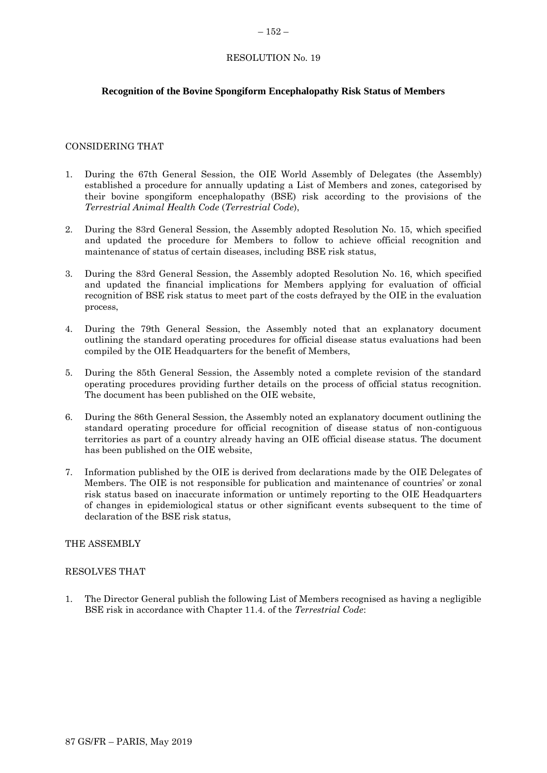#### <span id="page-29-0"></span> $-152-$

## RESOLUTION No. 19

## **Recognition of the Bovine Spongiform Encephalopathy Risk Status of Members**

## CONSIDERING THAT

- 1. During the 67th General Session, the OIE World Assembly of Delegates (the Assembly) established a procedure for annually updating a List of Members and zones, categorised by their bovine spongiform encephalopathy (BSE) risk according to the provisions of the *Terrestrial Animal Health Code* (*Terrestrial Code*),
- 2. During the 83rd General Session, the Assembly adopted Resolution No. 15, which specified and updated the procedure for Members to follow to achieve official recognition and maintenance of status of certain diseases, including BSE risk status,
- 3. During the 83rd General Session, the Assembly adopted Resolution No. 16, which specified and updated the financial implications for Members applying for evaluation of official recognition of BSE risk status to meet part of the costs defrayed by the OIE in the evaluation process,
- 4. During the 79th General Session, the Assembly noted that an explanatory document outlining the standard operating procedures for official disease status evaluations had been compiled by the OIE Headquarters for the benefit of Members,
- 5. During the 85th General Session, the Assembly noted a complete revision of the standard operating procedures providing further details on the process of official status recognition. The document has been published on the OIE website,
- 6. During the 86th General Session, the Assembly noted an explanatory document outlining the standard operating procedure for official recognition of disease status of non-contiguous territories as part of a country already having an OIE official disease status. The document has been published on the OIE website,
- 7. Information published by the OIE is derived from declarations made by the OIE Delegates of Members. The OIE is not responsible for publication and maintenance of countries' or zonal risk status based on inaccurate information or untimely reporting to the OIE Headquarters of changes in epidemiological status or other significant events subsequent to the time of declaration of the BSE risk status,

#### THE ASSEMBLY

#### RESOLVES THAT

1. The Director General publish the following List of Members recognised as having a negligible BSE risk in accordance with Chapter 11.4. of the *Terrestrial Code*: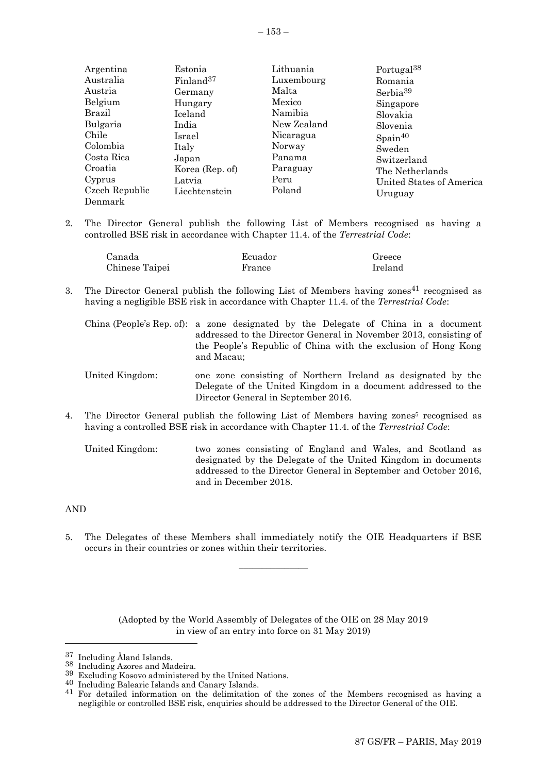| Argentina  | Estonia               | Lithuania   | Portugal <sup>38</sup> |
|------------|-----------------------|-------------|------------------------|
| Australia  | Finland <sup>37</sup> | Luxembourg  | Romania                |
| Austria    | Germany               | Malta       | Serbia <sup>39</sup>   |
| Belgium    | Hungary               | Mexico      | Singapore              |
| Brazil     | Iceland               | Namibia     | Slovakia               |
| Bulgaria   | India                 | New Zealand | Slovenia               |
| Chile      | Israel                | Nicaragua   | Spin <sup>40</sup>     |
| Colombia   | Italy                 | Norway      | Sweden                 |
| Costa Rica | Japan                 | Panama      | Switzerland            |
| Croatia    | Korea (Rep. of)       | Paraguay    | The Netherlands        |
|            |                       |             |                        |

Peru Poland

2. The Director General publish the following List of Members recognised as having a controlled BSE risk in accordance with Chapter 11.4. of the *Terrestrial Code*:

| Canada         | Ecuador | Greece  |
|----------------|---------|---------|
| Chinese Taipei | France  | Ireland |

3. The Director General publish the following List of Members having zones 41 recognised as having a negligible BSE risk in accordance with Chapter 11.4. of the *Terrestrial Code*:

China (People's Rep. of): a zone designated by the Delegate of China in a document addressed to the Director General in November 2013, consisting of the People's Republic of China with the exclusion of Hong Kong and Macau;

- United Kingdom: one zone consisting of Northern Ireland as designated by the Delegate of the United Kingdom in a document addressed to the Director General in September 2016.
- 4. The Director General publish the following List of Members having zones <sup>5</sup> recognised as having a controlled BSE risk in accordance with Chapter 11.4. of the *Terrestrial Code*:
	- United Kingdom: two zones consisting of England and Wales, and Scotland as designated by the Delegate of the United Kingdom in documents addressed to the Director General in September and October 2016, and in December 2018.

#### AND

l

Cyprus

Czech Republic Denmark

Latvia

Liechtenstein

5. The Delegates of these Members shall immediately notify the OIE Headquarters if BSE occurs in their countries or zones within their territories.

 $\overline{\phantom{a}}$  , where  $\overline{\phantom{a}}$ 

(Adopted by the World Assembly of Delegates of the OIE on 28 May 2019 in view of an entry into force on 31 May 2019)

40 Including Balearic Islands and Canary Islands.

United States of America

Uruguay

<sup>37</sup> Including Åland Islands.

<sup>38</sup> Including Azores and Madeira.

<sup>39</sup> Excluding Kosovo administered by the United Nations.

<sup>&</sup>lt;sup>41</sup> For detailed information on the delimitation of the zones of the Members recognised as having a negligible or controlled BSE risk, enquiries should be addressed to the Director General of the OIE.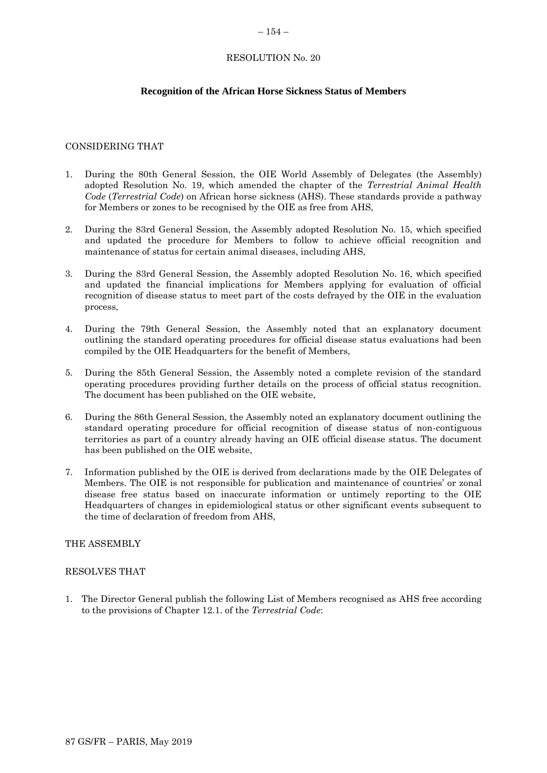#### <span id="page-31-0"></span> $-154-$

# RESOLUTION No. 20

## **Recognition of the African Horse Sickness Status of Members**

## CONSIDERING THAT

- 1. During the 80th General Session, the OIE World Assembly of Delegates (the Assembly) adopted Resolution No. 19, which amended the chapter of the *Terrestrial Animal Health Code* (*Terrestrial Code*) on African horse sickness (AHS). These standards provide a pathway for Members or zones to be recognised by the OIE as free from AHS,
- 2. During the 83rd General Session, the Assembly adopted Resolution No. 15, which specified and updated the procedure for Members to follow to achieve official recognition and maintenance of status for certain animal diseases, including AHS,
- 3. During the 83rd General Session, the Assembly adopted Resolution No. 16, which specified and updated the financial implications for Members applying for evaluation of official recognition of disease status to meet part of the costs defrayed by the OIE in the evaluation process,
- 4. During the 79th General Session, the Assembly noted that an explanatory document outlining the standard operating procedures for official disease status evaluations had been compiled by the OIE Headquarters for the benefit of Members,
- 5. During the 85th General Session, the Assembly noted a complete revision of the standard operating procedures providing further details on the process of official status recognition. The document has been published on the OIE website,
- 6. During the 86th General Session, the Assembly noted an explanatory document outlining the standard operating procedure for official recognition of disease status of non-contiguous territories as part of a country already having an OIE official disease status. The document has been published on the OIE website,
- 7. Information published by the OIE is derived from declarations made by the OIE Delegates of Members. The OIE is not responsible for publication and maintenance of countries' or zonal disease free status based on inaccurate information or untimely reporting to the OIE Headquarters of changes in epidemiological status or other significant events subsequent to the time of declaration of freedom from AHS,

#### THE ASSEMBLY

#### RESOLVES THAT

1. The Director General publish the following List of Members recognised as AHS free according to the provisions of Chapter 12.1. of the *Terrestrial Code*: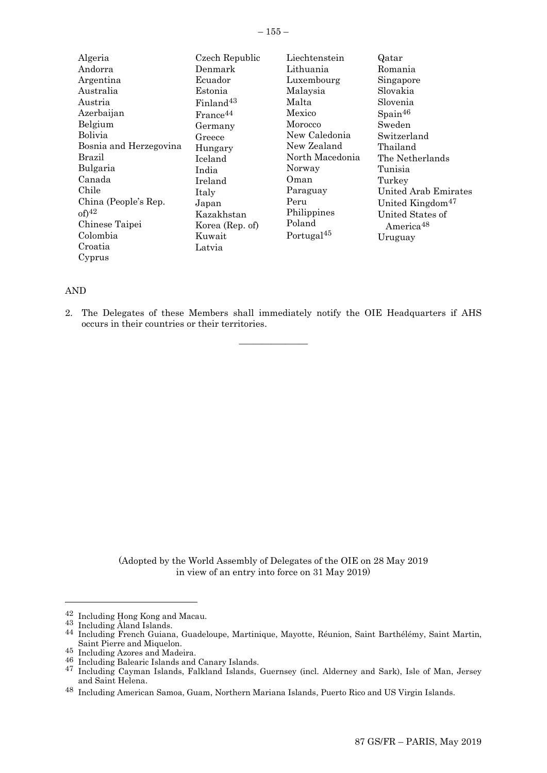| Algeria                | Czech Republic        | Liechtenstein          | Qatar                        |
|------------------------|-----------------------|------------------------|------------------------------|
| Andorra                | Denmark               | Lithuania              | Romania                      |
| Argentina              | Ecuador               | Luxembourg             | Singapore                    |
| Australia              | Estonia               | Malaysia               | Slovakia                     |
| Austria                | Finland <sup>43</sup> | Malta                  | Slovenia                     |
| Azerbaijan             | France <sup>44</sup>  | Mexico                 | $S_{\text{pain}}^{46}$       |
| Belgium                | Germany               | Morocco                | Sweden                       |
| <b>Bolivia</b>         | Greece                | New Caledonia          | Switzerland                  |
| Bosnia and Herzegovina | Hungary               | New Zealand            | Thailand                     |
| Brazil                 | Iceland               | North Macedonia        | The Netherlands              |
| Bulgaria               | India                 | Norway                 | Tunisia                      |
| Canada                 | Ireland               | Oman                   | Turkey                       |
| Chile                  | Italy                 | Paraguay               | <b>United Arab Emirates</b>  |
| China (People's Rep.   | Japan                 | Peru                   | United Kingdom <sup>47</sup> |
| $of)^{42}$             | Kazakhstan            | Philippines            | United States of             |
| Chinese Taipei         | Korea (Rep. of)       | Poland                 | America <sup>48</sup>        |
| Colombia               | Kuwait                | Portugal <sup>45</sup> | Uruguay                      |
| Croatia                | Latvia                |                        |                              |
| Cyprus                 |                       |                        |                              |

#### AND

2. The Delegates of these Members shall immediately notify the OIE Headquarters if AHS occurs in their countries or their territories.

 $\overline{\phantom{a}}$  , where  $\overline{\phantom{a}}$ 

(Adopted by the World Assembly of Delegates of the OIE on 28 May 2019 in view of an entry into force on 31 May 2019)

l

<sup>42</sup> Including Hong Kong and Macau.

<sup>43</sup> Including Åland Islands.

<sup>44</sup> Including French Guiana, Guadeloupe, Martinique, Mayotte, Réunion, Saint Barthélémy, Saint Martin, Saint Pierre and Miquelon.

<sup>45</sup> Including Azores and Madeira.

<sup>46</sup> Including Balearic Islands and Canary Islands.

<sup>47</sup> Including Cayman Islands, Falkland Islands, Guernsey (incl. Alderney and Sark), Isle of Man, Jersey and Saint Helena.

<sup>48</sup> Including American Samoa, Guam, Northern Mariana Islands, Puerto Rico and US Virgin Islands.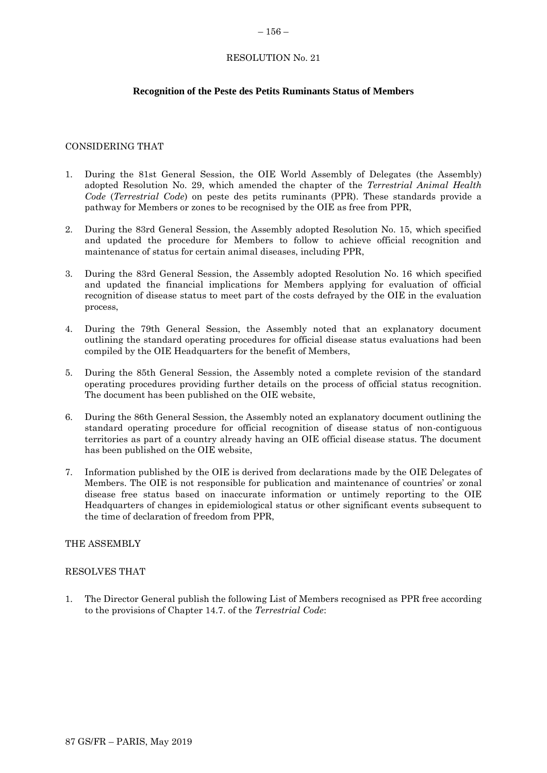#### <span id="page-33-0"></span> $-156-$

## RESOLUTION No. 21

# **Recognition of the Peste des Petits Ruminants Status of Members**

## CONSIDERING THAT

- 1. During the 81st General Session, the OIE World Assembly of Delegates (the Assembly) adopted Resolution No. 29, which amended the chapter of the *Terrestrial Animal Health Code* (*Terrestrial Code*) on peste des petits ruminants (PPR). These standards provide a pathway for Members or zones to be recognised by the OIE as free from PPR,
- 2. During the 83rd General Session, the Assembly adopted Resolution No. 15, which specified and updated the procedure for Members to follow to achieve official recognition and maintenance of status for certain animal diseases, including PPR,
- 3. During the 83rd General Session, the Assembly adopted Resolution No. 16 which specified and updated the financial implications for Members applying for evaluation of official recognition of disease status to meet part of the costs defrayed by the OIE in the evaluation process,
- 4. During the 79th General Session, the Assembly noted that an explanatory document outlining the standard operating procedures for official disease status evaluations had been compiled by the OIE Headquarters for the benefit of Members,
- 5. During the 85th General Session, the Assembly noted a complete revision of the standard operating procedures providing further details on the process of official status recognition. The document has been published on the OIE website,
- 6. During the 86th General Session, the Assembly noted an explanatory document outlining the standard operating procedure for official recognition of disease status of non-contiguous territories as part of a country already having an OIE official disease status. The document has been published on the OIE website,
- 7. Information published by the OIE is derived from declarations made by the OIE Delegates of Members. The OIE is not responsible for publication and maintenance of countries' or zonal disease free status based on inaccurate information or untimely reporting to the OIE Headquarters of changes in epidemiological status or other significant events subsequent to the time of declaration of freedom from PPR,

## THE ASSEMBLY

#### RESOLVES THAT

1. The Director General publish the following List of Members recognised as PPR free according to the provisions of Chapter 14.7. of the *Terrestrial Code*: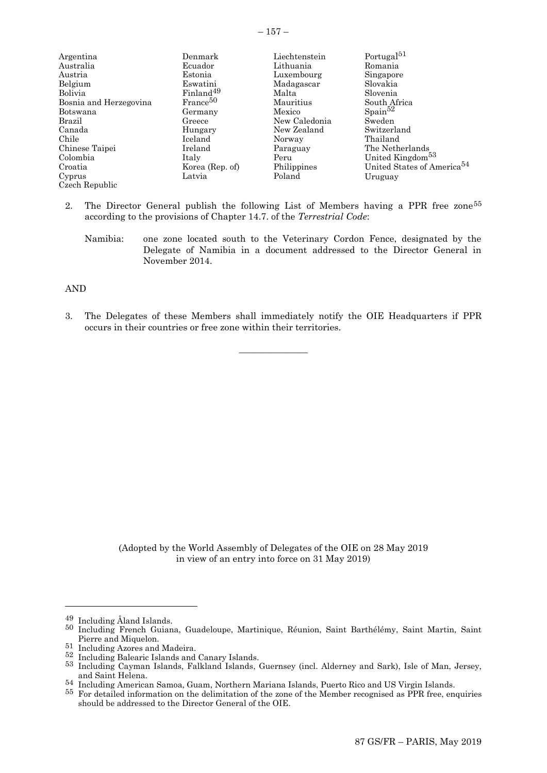| Argentina              | Denmark               | Liechtenstein | Portugal <sup>51</sup>                 |
|------------------------|-----------------------|---------------|----------------------------------------|
| Australia              | Ecuador               | Lithuania     | Romania                                |
| Austria                | Estonia               | Luxembourg    | Singapore                              |
| Belgium                | Eswatini              | Madagascar    | Slovakia                               |
| Bolivia                | Finland <sup>49</sup> | Malta         | Slovenia                               |
| Bosnia and Herzegovina | France <sup>50</sup>  | Mauritius     | South Africa                           |
| Botswana               | Germany               | Mexico        | $S_{\text{pain}}^{52}$                 |
| Brazil                 | Greece                | New Caledonia | Sweden                                 |
| Canada                 | Hungary               | New Zealand   | Switzerland                            |
| Chile                  | Iceland               | Norway        | Thailand                               |
| Chinese Taipei         | Ireland               | Paraguay      | The Netherlands                        |
| Colombia               | Italy                 | Peru          | United Kingdom <sup>53</sup>           |
| Croatia                | Korea (Rep. of)       | Philippines   | United States of America <sup>54</sup> |
| Cyprus                 | Latvia                | Poland        | Uruguay                                |
| Czech Republic         |                       |               |                                        |

- 2. The Director General publish the following List of Members having a PPR free zone<sup>55</sup> according to the provisions of Chapter 14.7. of the *Terrestrial Code*:
	- Namibia: one zone located south to the Veterinary Cordon Fence, designated by the Delegate of Namibia in a document addressed to the Director General in November 2014.

#### AND

3. The Delegates of these Members shall immediately notify the OIE Headquarters if PPR occurs in their countries or free zone within their territories.

 $\overline{\phantom{a}}$  , where  $\overline{\phantom{a}}$ 

(Adopted by the World Assembly of Delegates of the OIE on 28 May 2019 in view of an entry into force on 31 May 2019)

l

<sup>49</sup> Including Åland Islands.

<sup>50</sup> Including French Guiana, Guadeloupe, Martinique, Réunion, Saint Barthélémy, Saint Martin, Saint Pierre and Miquelon.

<sup>51</sup> Including Azores and Madeira.

<sup>52</sup> Including Balearic Islands and Canary Islands.

<sup>53</sup> Including Cayman Islands, Falkland Islands, Guernsey (incl. Alderney and Sark), Isle of Man, Jersey, and Saint Helena.

<sup>54</sup> Including American Samoa, Guam, Northern Mariana Islands, Puerto Rico and US Virgin Islands.

<sup>55</sup> For detailed information on the delimitation of the zone of the Member recognised as PPR free, enquiries should be addressed to the Director General of the OIE.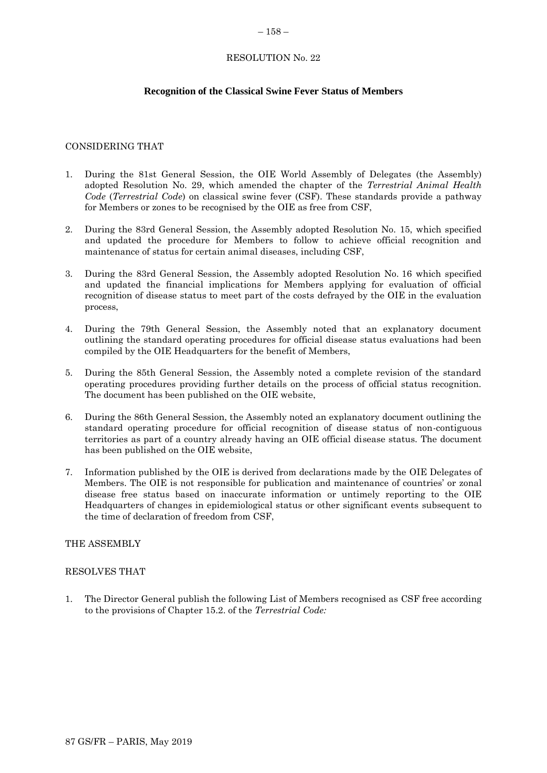#### <span id="page-35-0"></span> $-158-$

## RESOLUTION No. 22

# **Recognition of the Classical Swine Fever Status of Members**

## CONSIDERING THAT

- 1. During the 81st General Session, the OIE World Assembly of Delegates (the Assembly) adopted Resolution No. 29, which amended the chapter of the *Terrestrial Animal Health Code* (*Terrestrial Code*) on classical swine fever (CSF). These standards provide a pathway for Members or zones to be recognised by the OIE as free from CSF,
- 2. During the 83rd General Session, the Assembly adopted Resolution No. 15, which specified and updated the procedure for Members to follow to achieve official recognition and maintenance of status for certain animal diseases, including CSF,
- 3. During the 83rd General Session, the Assembly adopted Resolution No. 16 which specified and updated the financial implications for Members applying for evaluation of official recognition of disease status to meet part of the costs defrayed by the OIE in the evaluation process,
- 4. During the 79th General Session, the Assembly noted that an explanatory document outlining the standard operating procedures for official disease status evaluations had been compiled by the OIE Headquarters for the benefit of Members,
- 5. During the 85th General Session, the Assembly noted a complete revision of the standard operating procedures providing further details on the process of official status recognition. The document has been published on the OIE website,
- 6. During the 86th General Session, the Assembly noted an explanatory document outlining the standard operating procedure for official recognition of disease status of non-contiguous territories as part of a country already having an OIE official disease status. The document has been published on the OIE website,
- 7. Information published by the OIE is derived from declarations made by the OIE Delegates of Members. The OIE is not responsible for publication and maintenance of countries' or zonal disease free status based on inaccurate information or untimely reporting to the OIE Headquarters of changes in epidemiological status or other significant events subsequent to the time of declaration of freedom from CSF,

## THE ASSEMBLY

## RESOLVES THAT

1. The Director General publish the following List of Members recognised as CSF free according to the provisions of Chapter 15.2. of the *Terrestrial Code:*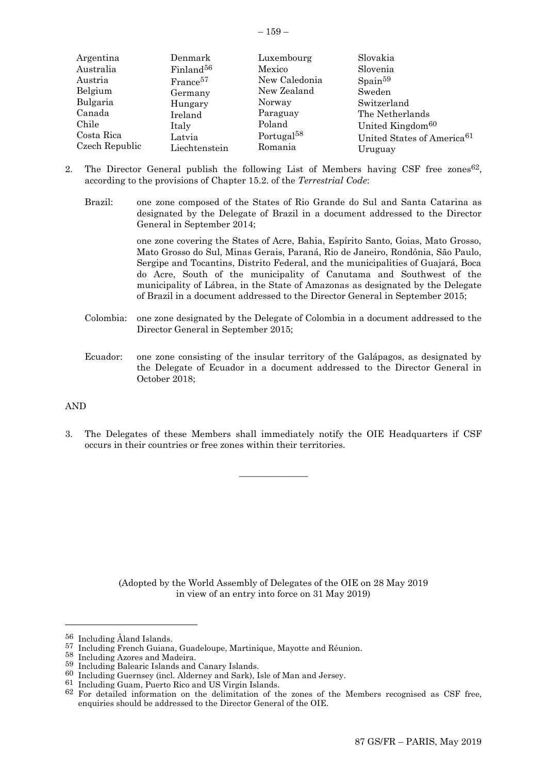|  | ×<br>۰, |  |
|--|---------|--|
|--|---------|--|

| Argentina      | Denmark               | Luxembourg             | Slovakia                               |
|----------------|-----------------------|------------------------|----------------------------------------|
| Australia      | Finland <sup>56</sup> | Mexico                 | Slovenia                               |
| Austria        | France <sup>57</sup>  | New Caledonia          | $S_{\text{pain}}^{59}$                 |
| Belgium        | Germany               | New Zealand            | Sweden                                 |
| Bulgaria       | Hungary               | Norway                 | Switzerland                            |
| Canada         | Ireland               | Paraguay               | The Netherlands                        |
| Chile          | Italy                 | Poland                 | United Kingdom <sup>60</sup>           |
| Costa Rica     | Latvia                | Portugal <sup>58</sup> | United States of America <sup>61</sup> |
| Czech Republic | Liechtenstein         | Romania                | Uruguay                                |

- 2. The Director General publish the following List of Members having CSF free zones<sup>62</sup>, according to the provisions of Chapter 15.2. of the *Terrestrial Code*:
	- Brazil: one zone composed of the States of Rio Grande do Sul and Santa Catarina as designated by the Delegate of Brazil in a document addressed to the Director General in September 2014;

one zone covering the States of Acre, Bahia, Espírito Santo, Goias, Mato Grosso, Mato Grosso do Sul, Minas Gerais, Paraná, Rio de Janeiro, Rondônia, São Paulo, Sergipe and Tocantins, Distrito Federal, and the municipalities of Guajará, Boca do Acre, South of the municipality of Canutama and Southwest of the municipality of Lábrea, in the State of Amazonas as designated by the Delegate of Brazil in a document addressed to the Director General in September 2015;

- Colombia: one zone designated by the Delegate of Colombia in a document addressed to the Director General in September 2015;
- Ecuador: one zone consisting of the insular territory of the Galápagos, as designated by the Delegate of Ecuador in a document addressed to the Director General in October 2018;

## AND

l

3. The Delegates of these Members shall immediately notify the OIE Headquarters if CSF occurs in their countries or free zones within their territories.

 $\overline{\phantom{a}}$  , where  $\overline{\phantom{a}}$ 

(Adopted by the World Assembly of Delegates of the OIE on 28 May 2019 in view of an entry into force on 31 May 2019)

61 Including Guam, Puerto Rico and US Virgin Islands.

<sup>56</sup> Including Åland Islands.

<sup>57</sup> Including French Guiana, Guadeloupe, Martinique, Mayotte and Réunion.

<sup>58</sup> Including Azores and Madeira.

<sup>59</sup> Including Balearic Islands and Canary Islands.

<sup>60</sup> Including Guernsey (incl. Alderney and Sark), Isle of Man and Jersey.

<sup>62</sup> For detailed information on the delimitation of the zones of the Members recognised as CSF free, enquiries should be addressed to the Director General of the OIE.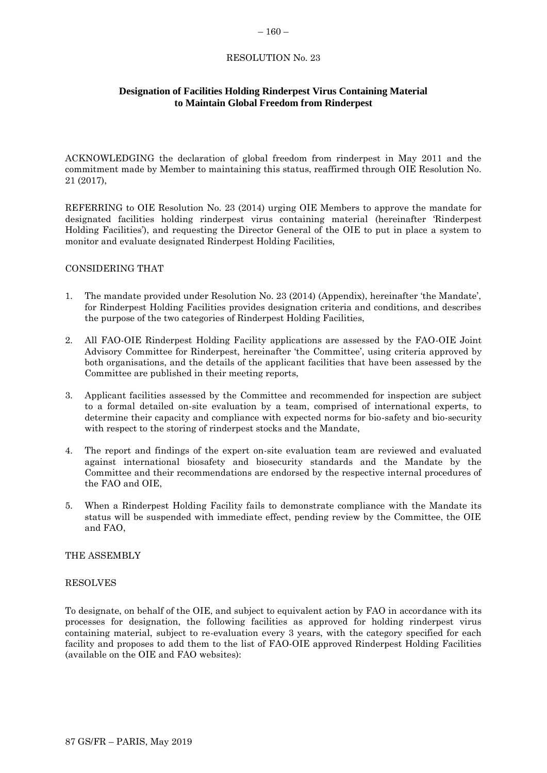#### <span id="page-37-0"></span> $-160-$

## RESOLUTION No. 23

# **Designation of Facilities Holding Rinderpest Virus Containing Material to Maintain Global Freedom from Rinderpest**

ACKNOWLEDGING the declaration of global freedom from rinderpest in May 2011 and the commitment made by Member to maintaining this status, reaffirmed through OIE Resolution No. 21 (2017),

REFERRING to OIE Resolution No. 23 (2014) urging OIE Members to approve the mandate for designated facilities holding rinderpest virus containing material (hereinafter 'Rinderpest Holding Facilities'), and requesting the Director General of the OIE to put in place a system to monitor and evaluate designated Rinderpest Holding Facilities,

#### CONSIDERING THAT

- 1. The mandate provided under Resolution No. 23 (2014) (Appendix), hereinafter 'the Mandate', for Rinderpest Holding Facilities provides designation criteria and conditions, and describes the purpose of the two categories of Rinderpest Holding Facilities,
- 2. All FAO-OIE Rinderpest Holding Facility applications are assessed by the FAO-OIE Joint Advisory Committee for Rinderpest, hereinafter 'the Committee', using criteria approved by both organisations, and the details of the applicant facilities that have been assessed by the Committee are published in their meeting reports,
- 3. Applicant facilities assessed by the Committee and recommended for inspection are subject to a formal detailed on-site evaluation by a team, comprised of international experts, to determine their capacity and compliance with expected norms for bio-safety and bio-security with respect to the storing of rinderpest stocks and the Mandate,
- 4. The report and findings of the expert on-site evaluation team are reviewed and evaluated against international biosafety and biosecurity standards and the Mandate by the Committee and their recommendations are endorsed by the respective internal procedures of the FAO and OIE,
- 5. When a Rinderpest Holding Facility fails to demonstrate compliance with the Mandate its status will be suspended with immediate effect, pending review by the Committee, the OIE and FAO,

#### THE ASSEMBLY

#### RESOLVES

To designate, on behalf of the OIE, and subject to equivalent action by FAO in accordance with its processes for designation, the following facilities as approved for holding rinderpest virus containing material, subject to re-evaluation every 3 years, with the category specified for each facility and proposes to add them to the list of FAO-OIE approved Rinderpest Holding Facilities (available on the OIE and FAO websites):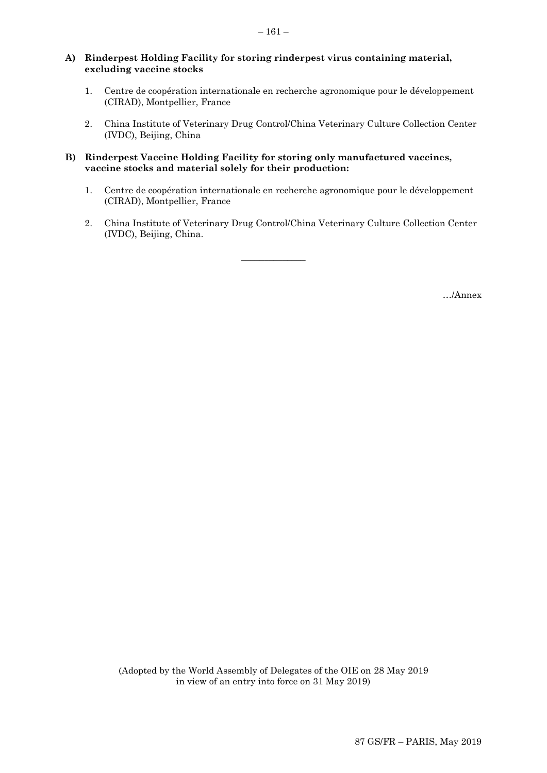#### **A) Rinderpest Holding Facility for storing rinderpest virus containing material, excluding vaccine stocks**

- 1. Centre de coopération internationale en recherche agronomique pour le développement (CIRAD), Montpellier, France
- 2. China Institute of Veterinary Drug Control/China Veterinary Culture Collection Center (IVDC), Beijing, China

## **B) Rinderpest Vaccine Holding Facility for storing only manufactured vaccines, vaccine stocks and material solely for their production:**

- 1. Centre de coopération internationale en recherche agronomique pour le développement (CIRAD), Montpellier, France
- 2. China Institute of Veterinary Drug Control/China Veterinary Culture Collection Center (IVDC), Beijing, China.

 $\overline{\phantom{a}}$  , where  $\overline{\phantom{a}}$ 

…/Annex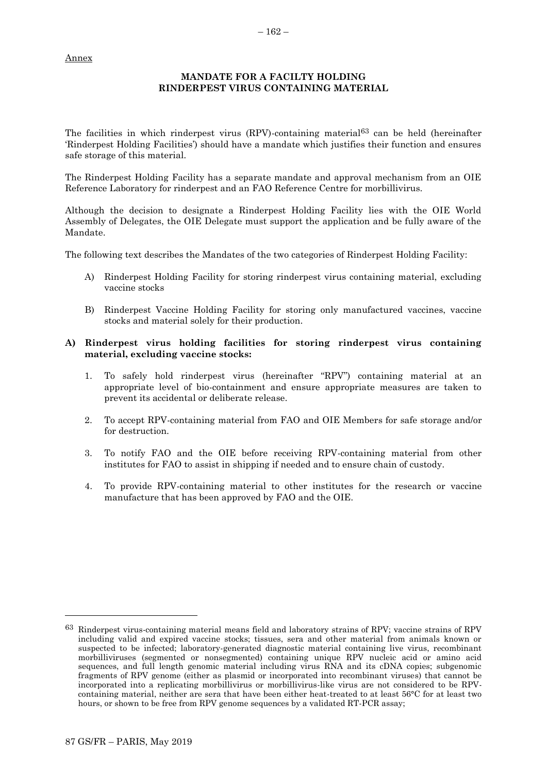# **MANDATE FOR A FACILTY HOLDING RINDERPEST VIRUS CONTAINING MATERIAL**

The facilities in which rinderpest virus (RPV)-containing material<sup>63</sup> can be held (hereinafter 'Rinderpest Holding Facilities') should have a mandate which justifies their function and ensures safe storage of this material.

The Rinderpest Holding Facility has a separate mandate and approval mechanism from an OIE Reference Laboratory for rinderpest and an FAO Reference Centre for morbillivirus.

Although the decision to designate a Rinderpest Holding Facility lies with the OIE World Assembly of Delegates, the OIE Delegate must support the application and be fully aware of the Mandate.

The following text describes the Mandates of the two categories of Rinderpest Holding Facility:

- A) Rinderpest Holding Facility for storing rinderpest virus containing material, excluding vaccine stocks
- B) Rinderpest Vaccine Holding Facility for storing only manufactured vaccines, vaccine stocks and material solely for their production.

## **A) Rinderpest virus holding facilities for storing rinderpest virus containing material, excluding vaccine stocks:**

- 1. To safely hold rinderpest virus (hereinafter "RPV") containing material at an appropriate level of bio-containment and ensure appropriate measures are taken to prevent its accidental or deliberate release.
- 2. To accept RPV-containing material from FAO and OIE Members for safe storage and/or for destruction.
- 3. To notify FAO and the OIE before receiving RPV-containing material from other institutes for FAO to assist in shipping if needed and to ensure chain of custody.
- 4. To provide RPV-containing material to other institutes for the research or vaccine manufacture that has been approved by FAO and the OIE.

l

<sup>63</sup> Rinderpest virus-containing material means field and laboratory strains of RPV; vaccine strains of RPV including valid and expired vaccine stocks; tissues, sera and other material from animals known or suspected to be infected; laboratory-generated diagnostic material containing live virus, recombinant morbilliviruses (segmented or nonsegmented) containing unique RPV nucleic acid or amino acid sequences, and full length genomic material including virus RNA and its cDNA copies; subgenomic fragments of RPV genome (either as plasmid or incorporated into recombinant viruses) that cannot be incorporated into a replicating morbillivirus or morbillivirus-like virus are not considered to be RPVcontaining material, neither are sera that have been either heat-treated to at least 56°C for at least two hours, or shown to be free from RPV genome sequences by a validated RT-PCR assay;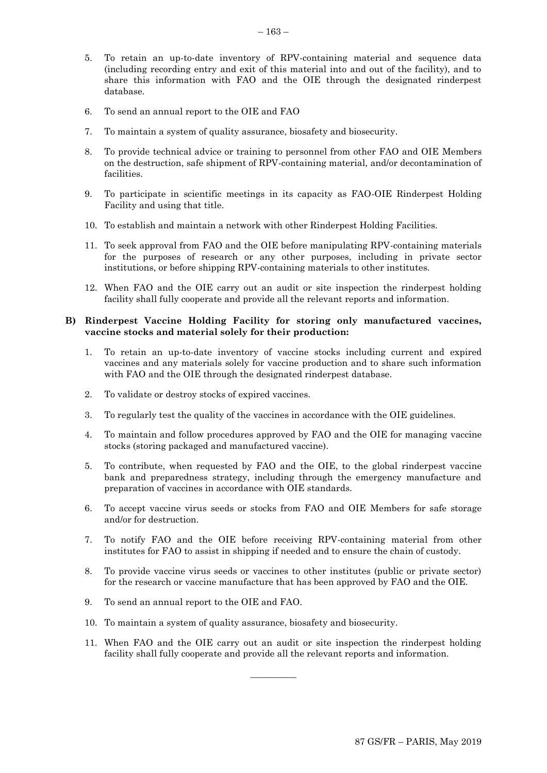- 5. To retain an up-to-date inventory of RPV-containing material and sequence data (including recording entry and exit of this material into and out of the facility), and to share this information with FAO and the OIE through the designated rinderpest database.
- 6. To send an annual report to the OIE and FAO
- 7. To maintain a system of quality assurance, biosafety and biosecurity.
- 8. To provide technical advice or training to personnel from other FAO and OIE Members on the destruction, safe shipment of RPV-containing material, and/or decontamination of facilities.
- 9. To participate in scientific meetings in its capacity as FAO-OIE Rinderpest Holding Facility and using that title.
- 10. To establish and maintain a network with other Rinderpest Holding Facilities.
- 11. To seek approval from FAO and the OIE before manipulating RPV-containing materials for the purposes of research or any other purposes, including in private sector institutions, or before shipping RPV-containing materials to other institutes.
- 12. When FAO and the OIE carry out an audit or site inspection the rinderpest holding facility shall fully cooperate and provide all the relevant reports and information.

#### **B) Rinderpest Vaccine Holding Facility for storing only manufactured vaccines, vaccine stocks and material solely for their production:**

- 1. To retain an up-to-date inventory of vaccine stocks including current and expired vaccines and any materials solely for vaccine production and to share such information with FAO and the OIE through the designated rinderpest database.
- 2. To validate or destroy stocks of expired vaccines.
- 3. To regularly test the quality of the vaccines in accordance with the OIE guidelines.
- 4. To maintain and follow procedures approved by FAO and the OIE for managing vaccine stocks (storing packaged and manufactured vaccine).
- 5. To contribute, when requested by FAO and the OIE, to the global rinderpest vaccine bank and preparedness strategy, including through the emergency manufacture and preparation of vaccines in accordance with OIE standards.
- 6. To accept vaccine virus seeds or stocks from FAO and OIE Members for safe storage and/or for destruction.
- 7. To notify FAO and the OIE before receiving RPV-containing material from other institutes for FAO to assist in shipping if needed and to ensure the chain of custody.
- 8. To provide vaccine virus seeds or vaccines to other institutes (public or private sector) for the research or vaccine manufacture that has been approved by FAO and the OIE.
- 9. To send an annual report to the OIE and FAO.
- 10. To maintain a system of quality assurance, biosafety and biosecurity.
- 11. When FAO and the OIE carry out an audit or site inspection the rinderpest holding facility shall fully cooperate and provide all the relevant reports and information.

\_\_\_\_\_\_\_\_\_\_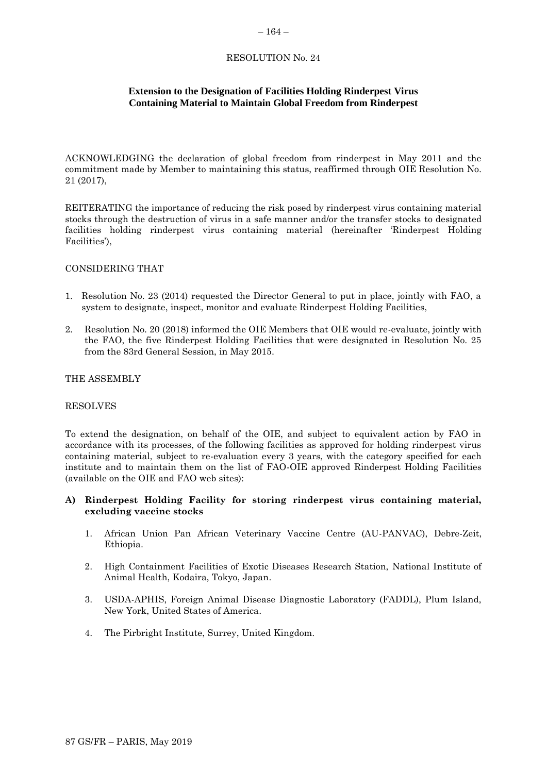#### <span id="page-41-0"></span> $-164-$

## RESOLUTION No. 24

## **Extension to the Designation of Facilities Holding Rinderpest Virus Containing Material to Maintain Global Freedom from Rinderpest**

ACKNOWLEDGING the declaration of global freedom from rinderpest in May 2011 and the commitment made by Member to maintaining this status, reaffirmed through OIE Resolution No. 21 (2017),

REITERATING the importance of reducing the risk posed by rinderpest virus containing material stocks through the destruction of virus in a safe manner and/or the transfer stocks to designated facilities holding rinderpest virus containing material (hereinafter 'Rinderpest Holding Facilities'),

## CONSIDERING THAT

- 1. Resolution No. 23 (2014) requested the Director General to put in place, jointly with FAO, a system to designate, inspect, monitor and evaluate Rinderpest Holding Facilities,
- 2. Resolution No. 20 (2018) informed the OIE Members that OIE would re-evaluate, jointly with the FAO, the five Rinderpest Holding Facilities that were designated in Resolution No. 25 from the 83rd General Session, in May 2015.

#### THE ASSEMBLY

#### RESOLVES

To extend the designation, on behalf of the OIE, and subject to equivalent action by FAO in accordance with its processes, of the following facilities as approved for holding rinderpest virus containing material, subject to re-evaluation every 3 years, with the category specified for each institute and to maintain them on the list of FAO-OIE approved Rinderpest Holding Facilities (available on the OIE and FAO web sites):

## **A) Rinderpest Holding Facility for storing rinderpest virus containing material, excluding vaccine stocks**

- 1. African Union Pan African Veterinary Vaccine Centre (AU-PANVAC), Debre-Zeit, Ethiopia.
- 2. High Containment Facilities of Exotic Diseases Research Station, National Institute of Animal Health, Kodaira, Tokyo, Japan.
- 3. USDA-APHIS, Foreign Animal Disease Diagnostic Laboratory (FADDL), Plum Island, New York, United States of America.
- 4. The Pirbright Institute, Surrey, United Kingdom.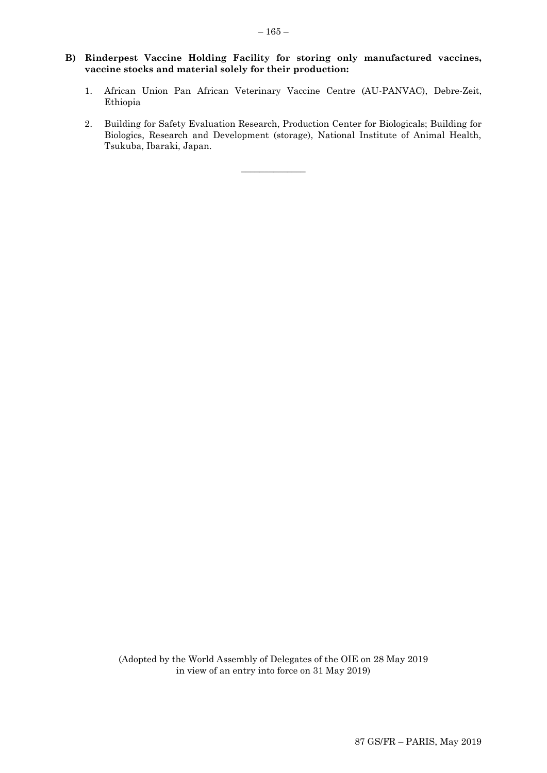## **B) Rinderpest Vaccine Holding Facility for storing only manufactured vaccines, vaccine stocks and material solely for their production:**

- 1. African Union Pan African Veterinary Vaccine Centre (AU-PANVAC), Debre-Zeit, Ethiopia
- 2. Building for Safety Evaluation Research, Production Center for Biologicals; Building for Biologics, Research and Development (storage), National Institute of Animal Health, Tsukuba, Ibaraki, Japan.

 $\overline{\phantom{a}}$  , where  $\overline{\phantom{a}}$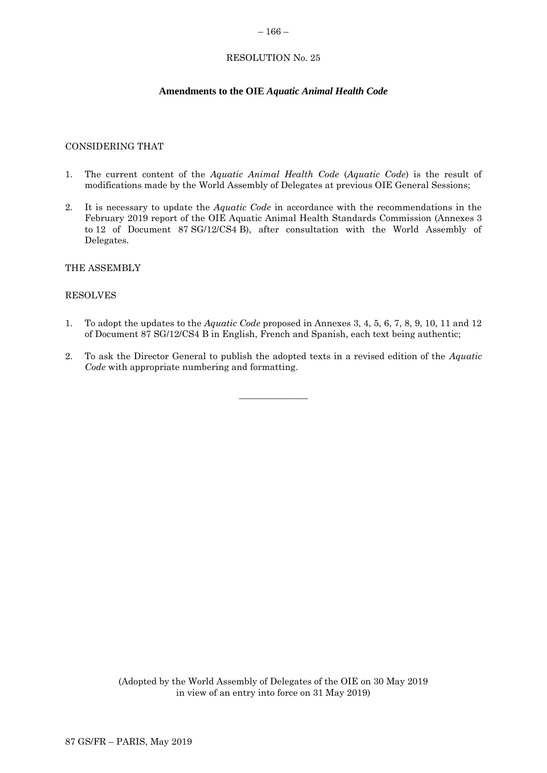#### <span id="page-43-0"></span>– 166 –

## RESOLUTION No. 25

## **Amendments to the OIE** *Aquatic Animal Health Code*

#### CONSIDERING THAT

- 1. The current content of the *Aquatic Animal Health Code* (*Aquatic Code*) is the result of modifications made by the World Assembly of Delegates at previous OIE General Sessions;
- 2. It is necessary to update the *Aquatic Code* in accordance with the recommendations in the February 2019 report of the OIE Aquatic Animal Health Standards Commission (Annexes 3 to 12 of Document 87 SG/12/CS4 B), after consultation with the World Assembly of Delegates.

THE ASSEMBLY

#### RESOLVES

- 1. To adopt the updates to the *Aquatic Code* proposed in Annexes 3, 4, 5, 6, 7, 8, 9, 10, 11 and 12 of Document 87 SG/12/CS4 B in English, French and Spanish, each text being authentic;
- 2. To ask the Director General to publish the adopted texts in a revised edition of the *Aquatic Code* with appropriate numbering and formatting.

 $\overline{\phantom{a}}$  , where  $\overline{\phantom{a}}$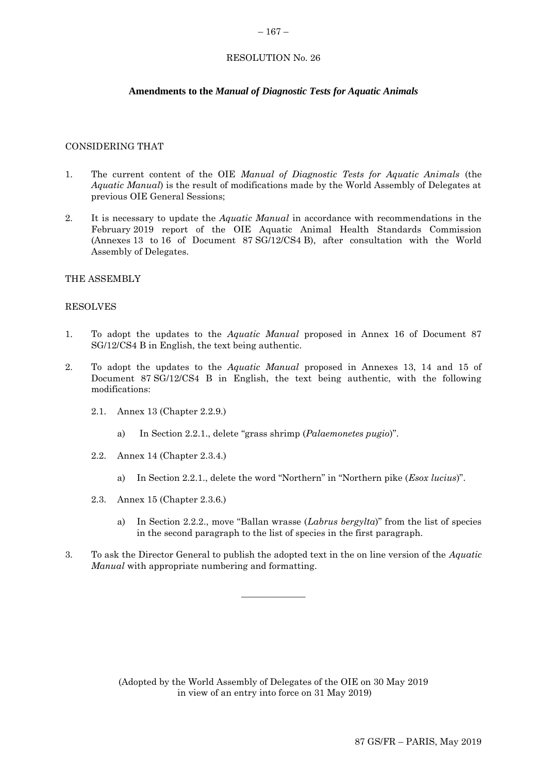## <span id="page-44-0"></span> $-167-$

## RESOLUTION No. 26

## **Amendments to the** *Manual of Diagnostic Tests for Aquatic Animals*

#### CONSIDERING THAT

- 1. The current content of the OIE *Manual of Diagnostic Tests for Aquatic Animals* (the *Aquatic Manual*) is the result of modifications made by the World Assembly of Delegates at previous OIE General Sessions;
- 2. It is necessary to update the *Aquatic Manual* in accordance with recommendations in the February 2019 report of the OIE Aquatic Animal Health Standards Commission (Annexes 13 to 16 of Document 87 SG/12/CS4 B), after consultation with the World Assembly of Delegates.

#### THE ASSEMBLY

#### RESOLVES

- 1. To adopt the updates to the *Aquatic Manual* proposed in Annex 16 of Document 87 SG/12/CS4 B in English, the text being authentic.
- 2. To adopt the updates to the *Aquatic Manual* proposed in Annexes 13, 14 and 15 of Document 87 SG/12/CS4 B in English, the text being authentic, with the following modifications:
	- 2.1. Annex 13 (Chapter 2.2.9.)
		- a) In Section 2.2.1., delete "grass shrimp (*Palaemonetes pugio*)".
	- 2.2. Annex 14 (Chapter 2.3.4.)
		- a) In Section 2.2.1., delete the word "Northern" in "Northern pike (*Esox lucius*)".
	- 2.3. Annex 15 (Chapter 2.3.6.)
		- a) In Section 2.2.2., move "Ballan wrasse (*Labrus bergylta*)" from the list of species in the second paragraph to the list of species in the first paragraph.
- 3. To ask the Director General to publish the adopted text in the on line version of the *Aquatic Manual* with appropriate numbering and formatting.

 $\overline{\phantom{a}}$  , where  $\overline{\phantom{a}}$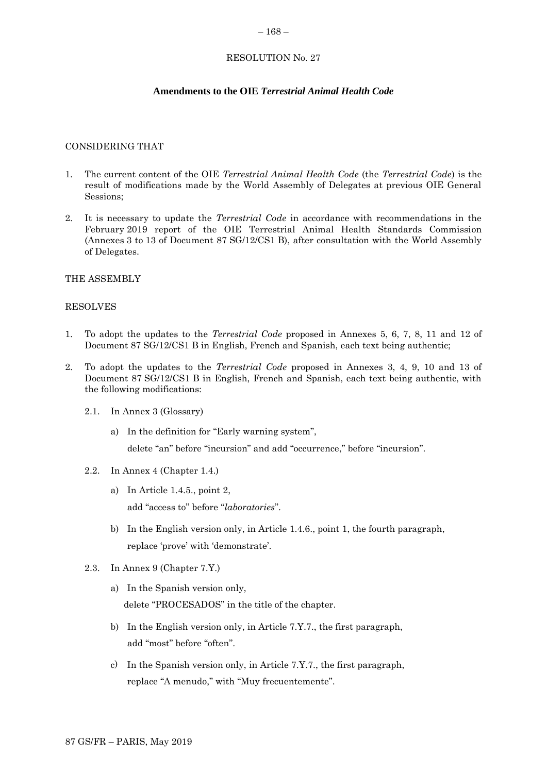#### <span id="page-45-0"></span> $-168-$

## RESOLUTION No. 27

# **Amendments to the OIE** *Terrestrial Animal Health Code*

## CONSIDERING THAT

- 1. The current content of the OIE *Terrestrial Animal Health Code* (the *Terrestrial Code*) is the result of modifications made by the World Assembly of Delegates at previous OIE General Sessions;
- 2. It is necessary to update the *Terrestrial Code* in accordance with recommendations in the February 2019 report of the OIE Terrestrial Animal Health Standards Commission (Annexes 3 to 13 of Document 87 SG/12/CS1 B), after consultation with the World Assembly of Delegates.

## THE ASSEMBLY

## RESOLVES

- 1. To adopt the updates to the *Terrestrial Code* proposed in Annexes 5, 6, 7, 8, 11 and 12 of Document 87 SG/12/CS1 B in English, French and Spanish, each text being authentic;
- 2. To adopt the updates to the *Terrestrial Code* proposed in Annexes 3, 4, 9, 10 and 13 of Document 87 SG/12/CS1 B in English, French and Spanish, each text being authentic, with the following modifications:
	- 2.1. In Annex 3 (Glossary)
		- a) In the definition for "Early warning system",

delete "an" before "incursion" and add "occurrence," before "incursion".

- 2.2. In Annex 4 (Chapter 1.4.)
	- a) In Article 1.4.5., point 2, add "access to" before "*laboratories*".
	- b) In the English version only, in Article 1.4.6., point 1, the fourth paragraph, replace 'prove' with 'demonstrate'.
- 2.3. In Annex 9 (Chapter 7.Y.)
	- a) In the Spanish version only, delete "PROCESADOS" in the title of the chapter.
	- b) In the English version only, in Article 7.Y.7., the first paragraph, add "most" before "often".
	- c) In the Spanish version only, in Article 7.Y.7., the first paragraph, replace "A menudo," with "Muy frecuentemente".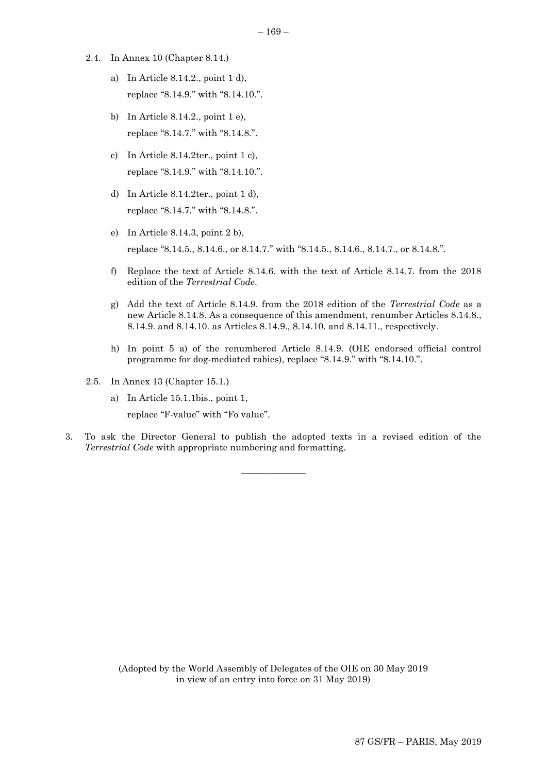- 2.4. In Annex 10 (Chapter 8.14.)
	- a) In Article 8.14.2., point 1 d), replace "8.14.9." with "8.14.10.".
	- b) In Article 8.14.2., point 1 e), replace "8.14.7." with "8.14.8.".
	- c) In Article 8.14.2ter., point 1 c), replace "8.14.9." with "8.14.10.".
	- d) In Article 8.14.2ter., point 1 d), replace "8.14.7." with "8.14.8.".
	- e) In Article 8.14.3, point 2 b), replace "8.14.5., 8.14.6., or 8.14.7." with "8.14.5., 8.14.6., 8.14.7., or 8.14.8.".
	- f) Replace the text of Article 8.14.6. with the text of Article 8.14.7. from the 2018 edition of the *Terrestrial Code*.
	- g) Add the text of Article 8.14.9. from the 2018 edition of the *Terrestrial Code* as a new Article 8.14.8. As a consequence of this amendment, renumber Articles 8.14.8., 8.14.9. and 8.14.10. as Articles 8.14.9., 8.14.10. and 8.14.11., respectively.
	- h) In point 5 a) of the renumbered Article 8.14.9. (OIE endorsed official control programme for dog-mediated rabies), replace "8.14.9." with "8.14.10.".
- 2.5. In Annex 13 (Chapter 15.1.)
	- a) In Article 15.1.1bis., point 1,

replace "F-value" with "Fo value".

3. To ask the Director General to publish the adopted texts in a revised edition of the *Terrestrial Code* with appropriate numbering and formatting.

 $\overline{\phantom{a}}$  , where  $\overline{\phantom{a}}$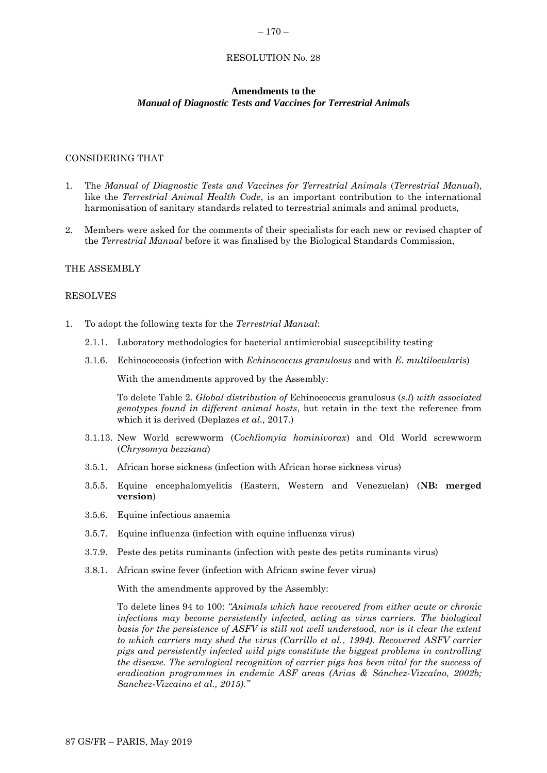#### <span id="page-47-0"></span> $-170-$

#### RESOLUTION No. 28

#### **Amendments to the** *Manual of Diagnostic Tests and Vaccines for Terrestrial Animals*

## CONSIDERING THAT

- 1. The *Manual of Diagnostic Tests and Vaccines for Terrestrial Animals* (*Terrestrial Manual*), like the *Terrestrial Animal Health Code*, is an important contribution to the international harmonisation of sanitary standards related to terrestrial animals and animal products,
- 2. Members were asked for the comments of their specialists for each new or revised chapter of the *Terrestrial Manual* before it was finalised by the Biological Standards Commission,

#### THE ASSEMBLY

#### RESOLVES

- 1. To adopt the following texts for the *Terrestrial Manual*:
	- 2.1.1. Laboratory methodologies for bacterial antimicrobial susceptibility testing
	- 3.1.6. Echinococcosis (infection with *Echinococcus granulosus* and with *E. multilocularis*)

With the amendments approved by the Assembly:

To delete Table 2. *Global distribution of* Echinococcus granulosus (*s.l*) *with associated genotypes found in different animal hosts*, but retain in the text the reference from which it is derived (Deplazes *et al.,* 2017.)

- 3.1.13. New World screwworm (*Cochliomyia hominivorax*) and Old World screwworm (*Chrysomya bezziana*)
- 3.5.1. African horse sickness (infection with African horse sickness virus)
- 3.5.5. Equine encephalomyelitis (Eastern, Western and Venezuelan) (**NB: merged version**)
- 3.5.6. Equine infectious anaemia
- 3.5.7. Equine influenza (infection with equine influenza virus)
- 3.7.9. Peste des petits ruminants (infection with peste des petits ruminants virus)
- 3.8.1. African swine fever (infection with African swine fever virus)

With the amendments approved by the Assembly:

To delete lines 94 to 100: *"Animals which have recovered from either acute or chronic infections may become persistently infected, acting as virus carriers. The biological basis for the persistence of ASFV is still not well understood, nor is it clear the extent to which carriers may shed the virus (Carrillo et al., 1994). Recovered ASFV carrier pigs and persistently infected wild pigs constitute the biggest problems in controlling the disease. The serological recognition of carrier pigs has been vital for the success of eradication programmes in endemic ASF areas (Arias & Sánchez-Vizcaíno, 2002b; Sanchez-Vizcaino et al., 2015)."*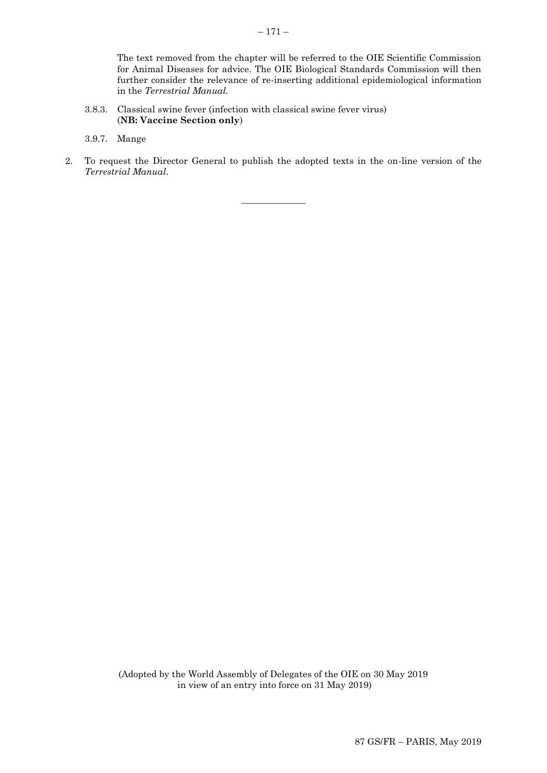The text removed from the chapter will be referred to the OIE Scientific Commission for Animal Diseases for advice. The OIE Biological Standards Commission will then further consider the relevance of re-inserting additional epidemiological information in the *Terrestrial Manual.*

- 3.8.3. Classical swine fever (infection with classical swine fever virus) (**NB: Vaccine Section only**)
- 3.9.7. Mange
- 2. To request the Director General to publish the adopted texts in the on-line version of the *Terrestrial Manual*.

 $\overline{\phantom{a}}$  , where  $\overline{\phantom{a}}$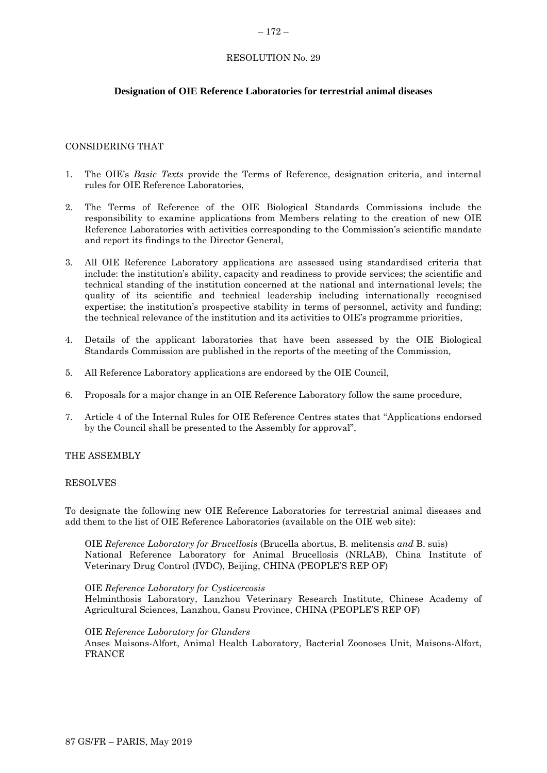#### <span id="page-49-0"></span> $-172-$

## RESOLUTION No. 29

## **Designation of OIE Reference Laboratories for terrestrial animal diseases**

## CONSIDERING THAT

- 1. The OIE's *Basic Texts* provide the Terms of Reference, designation criteria, and internal rules for OIE Reference Laboratories,
- 2. The Terms of Reference of the OIE Biological Standards Commissions include the responsibility to examine applications from Members relating to the creation of new OIE Reference Laboratories with activities corresponding to the Commission's scientific mandate and report its findings to the Director General,
- 3. All OIE Reference Laboratory applications are assessed using standardised criteria that include: the institution's ability, capacity and readiness to provide services; the scientific and technical standing of the institution concerned at the national and international levels; the quality of its scientific and technical leadership including internationally recognised expertise; the institution's prospective stability in terms of personnel, activity and funding; the technical relevance of the institution and its activities to OIE's programme priorities,
- 4. Details of the applicant laboratories that have been assessed by the OIE Biological Standards Commission are published in the reports of the meeting of the Commission,
- 5. All Reference Laboratory applications are endorsed by the OIE Council,
- 6. Proposals for a major change in an OIE Reference Laboratory follow the same procedure,
- 7. Article 4 of the Internal Rules for OIE Reference Centres states that "Applications endorsed by the Council shall be presented to the Assembly for approval",

#### THE ASSEMBLY

#### RESOLVES

To designate the following new OIE Reference Laboratories for terrestrial animal diseases and add them to the list of OIE Reference Laboratories (available on the OIE web site):

OIE *Reference Laboratory for Brucellosis* (Brucella abortus, B. melitensis *and* B. suis) National Reference Laboratory for Animal Brucellosis (NRLAB), China Institute of Veterinary Drug Control (IVDC), Beijing, CHINA (PEOPLE'S REP OF)

#### OIE *Reference Laboratory for Cysticercosis*

Helminthosis Laboratory, Lanzhou Veterinary Research Institute, Chinese Academy of Agricultural Sciences, Lanzhou, Gansu Province, CHINA (PEOPLE'S REP OF)

#### OIE *Reference Laboratory for Glanders*

Anses Maisons-Alfort, Animal Health Laboratory, Bacterial Zoonoses Unit, Maisons-Alfort, FRANCE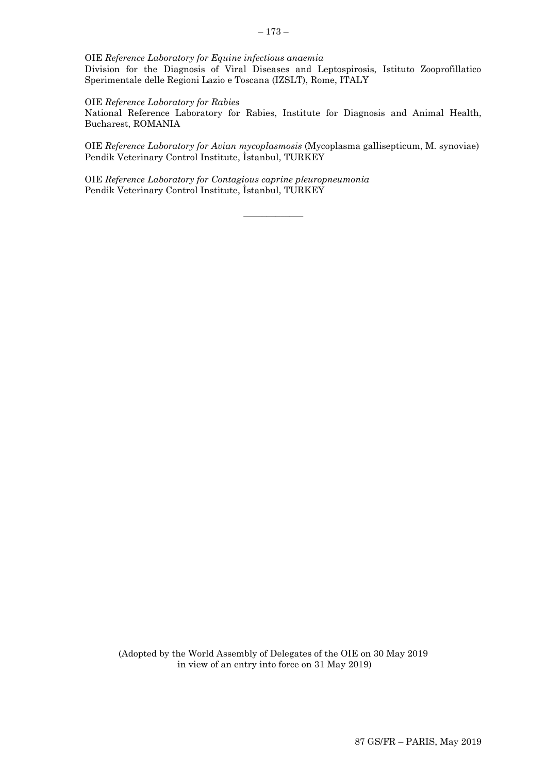OIE *Reference Laboratory for Equine infectious anaemia*

Division for the Diagnosis of Viral Diseases and Leptospirosis, Istituto Zooprofillatico Sperimentale delle Regioni Lazio e Toscana (IZSLT), Rome, ITALY

OIE *Reference Laboratory for Rabies*

National Reference Laboratory for Rabies, Institute for Diagnosis and Animal Health, Bucharest, ROMANIA

OIE *Reference Laboratory for Avian mycoplasmosis* (Mycoplasma gallisepticum, M. synoviae) Pendik Veterinary Control Institute, İstanbul, TURKEY

 $\overline{\phantom{a}}$  ,  $\overline{\phantom{a}}$  ,  $\overline{\phantom{a}}$  ,  $\overline{\phantom{a}}$  ,  $\overline{\phantom{a}}$  ,  $\overline{\phantom{a}}$  ,  $\overline{\phantom{a}}$  ,  $\overline{\phantom{a}}$  ,  $\overline{\phantom{a}}$  ,  $\overline{\phantom{a}}$  ,  $\overline{\phantom{a}}$  ,  $\overline{\phantom{a}}$  ,  $\overline{\phantom{a}}$  ,  $\overline{\phantom{a}}$  ,  $\overline{\phantom{a}}$  ,  $\overline{\phantom{a}}$ 

OIE *Reference Laboratory for Contagious caprine pleuropneumonia*  Pendik Veterinary Control Institute, İstanbul, TURKEY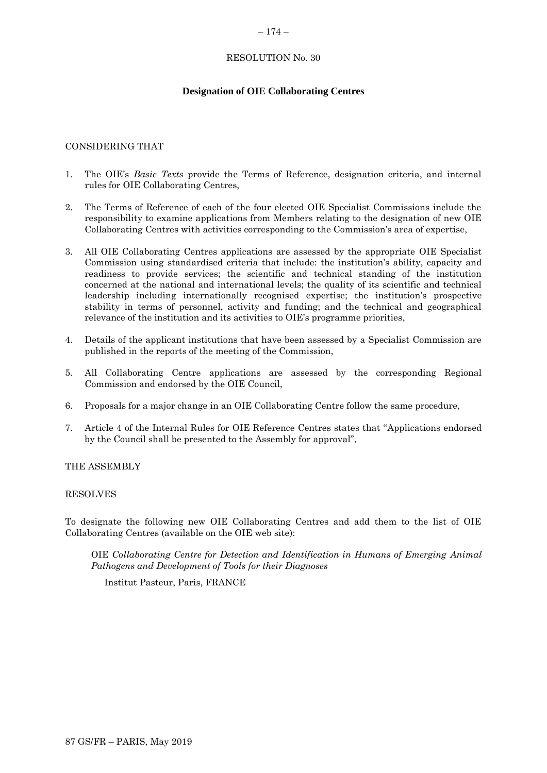#### <span id="page-51-0"></span> $-174-$

# RESOLUTION No. 30

# **Designation of OIE Collaborating Centres**

## CONSIDERING THAT

- 1. The OIE's *Basic Texts* provide the Terms of Reference, designation criteria, and internal rules for OIE Collaborating Centres,
- 2. The Terms of Reference of each of the four elected OIE Specialist Commissions include the responsibility to examine applications from Members relating to the designation of new OIE Collaborating Centres with activities corresponding to the Commission's area of expertise,
- 3. All OIE Collaborating Centres applications are assessed by the appropriate OIE Specialist Commission using standardised criteria that include: the institution's ability, capacity and readiness to provide services; the scientific and technical standing of the institution concerned at the national and international levels; the quality of its scientific and technical leadership including internationally recognised expertise; the institution's prospective stability in terms of personnel, activity and funding; and the technical and geographical relevance of the institution and its activities to OIE's programme priorities,
- 4. Details of the applicant institutions that have been assessed by a Specialist Commission are published in the reports of the meeting of the Commission,
- 5. All Collaborating Centre applications are assessed by the corresponding Regional Commission and endorsed by the OIE Council,
- 6. Proposals for a major change in an OIE Collaborating Centre follow the same procedure,
- 7. Article 4 of the Internal Rules for OIE Reference Centres states that "Applications endorsed by the Council shall be presented to the Assembly for approval",

## THE ASSEMBLY

#### RESOLVES

To designate the following new OIE Collaborating Centres and add them to the list of OIE Collaborating Centres (available on the OIE web site):

OIE *Collaborating Centre for Detection and Identification in Humans of Emerging Animal Pathogens and Development of Tools for their Diagnoses*

Institut Pasteur, Paris, FRANCE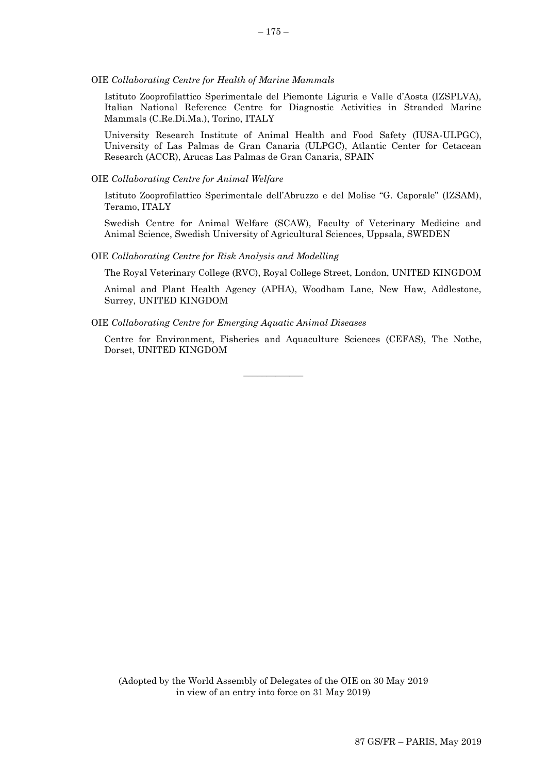#### OIE *Collaborating Centre for Health of Marine Mammals*

Istituto Zooprofilattico Sperimentale del Piemonte Liguria e Valle d'Aosta (IZSPLVA), Italian National Reference Centre for Diagnostic Activities in Stranded Marine Mammals (C.Re.Di.Ma.), Torino, ITALY

University Research Institute of Animal Health and Food Safety (IUSA-ULPGC), University of Las Palmas de Gran Canaria (ULPGC), Atlantic Center for Cetacean Research (ACCR), Arucas Las Palmas de Gran Canaria, SPAIN

#### OIE *Collaborating Centre for Animal Welfare*

Istituto Zooprofilattico Sperimentale dell'Abruzzo e del Molise "G. Caporale" (IZSAM), Teramo, ITALY

Swedish Centre for Animal Welfare (SCAW), Faculty of Veterinary Medicine and Animal Science, Swedish University of Agricultural Sciences, Uppsala, SWEDEN

#### OIE *Collaborating Centre for Risk Analysis and Modelling*

The Royal Veterinary College (RVC), Royal College Street, London, UNITED KINGDOM

Animal and Plant Health Agency (APHA), Woodham Lane, New Haw, Addlestone, Surrey, UNITED KINGDOM

#### OIE *Collaborating Centre for Emerging Aquatic Animal Diseases*

Centre for Environment, Fisheries and Aquaculture Sciences (CEFAS), The Nothe, Dorset, UNITED KINGDOM

 $\overline{\phantom{a}}$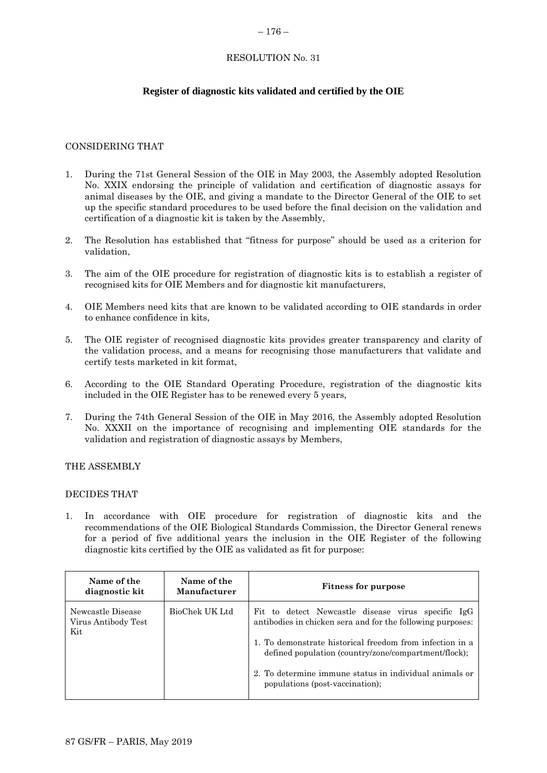#### <span id="page-53-0"></span> $-176-$

# RESOLUTION No. 31

# **Register of diagnostic kits validated and certified by the OIE**

# CONSIDERING THAT

- 1. During the 71st General Session of the OIE in May 2003, the Assembly adopted Resolution No. XXIX endorsing the principle of validation and certification of diagnostic assays for animal diseases by the OIE, and giving a mandate to the Director General of the OIE to set up the specific standard procedures to be used before the final decision on the validation and certification of a diagnostic kit is taken by the Assembly,
- 2. The Resolution has established that "fitness for purpose" should be used as a criterion for validation,
- 3. The aim of the OIE procedure for registration of diagnostic kits is to establish a register of recognised kits for OIE Members and for diagnostic kit manufacturers,
- 4. OIE Members need kits that are known to be validated according to OIE standards in order to enhance confidence in kits,
- 5. The OIE register of recognised diagnostic kits provides greater transparency and clarity of the validation process, and a means for recognising those manufacturers that validate and certify tests marketed in kit format,
- 6. According to the OIE Standard Operating Procedure, registration of the diagnostic kits included in the OIE Register has to be renewed every 5 years,
- 7. During the 74th General Session of the OIE in May 2016, the Assembly adopted Resolution No. XXXII on the importance of recognising and implementing OIE standards for the validation and registration of diagnostic assays by Members,

## THE ASSEMBLY

## DECIDES THAT

1. In accordance with OIE procedure for registration of diagnostic kits and the recommendations of the OIE Biological Standards Commission, the Director General renews for a period of five additional years the inclusion in the OIE Register of the following diagnostic kits certified by the OIE as validated as fit for purpose:

| Name of the<br>diagnostic kit                   | Name of the<br>Manufacturer | <b>Fitness for purpose</b>                                                                                                                                                                                                                                                                                                        |
|-------------------------------------------------|-----------------------------|-----------------------------------------------------------------------------------------------------------------------------------------------------------------------------------------------------------------------------------------------------------------------------------------------------------------------------------|
| Newcastle Disease<br>Virus Antibody Test<br>Kit | BioChek UK Ltd              | Fit to detect Newcastle disease virus specific IgG<br>antibodies in chicken sera and for the following purposes:<br>1. To demonstrate historical freedom from infection in a<br>defined population (country/zone/compartment/flock);<br>2. To determine immune status in individual animals or<br>populations (post-vaccination); |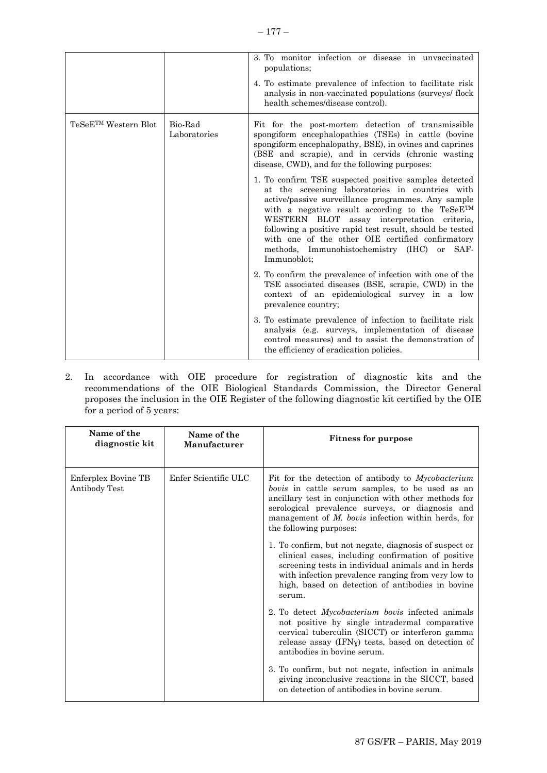|                                  |                         | 3. To monitor infection or disease in unvaccinated<br>populations;<br>4. To estimate prevalence of infection to facilitate risk<br>analysis in non-vaccinated populations (surveys/flock<br>health schemes/disease control).                                                                                                                                                                                                                            |
|----------------------------------|-------------------------|---------------------------------------------------------------------------------------------------------------------------------------------------------------------------------------------------------------------------------------------------------------------------------------------------------------------------------------------------------------------------------------------------------------------------------------------------------|
| TeSeE <sup>TM</sup> Western Blot | Bio-Rad<br>Laboratories | Fit for the post-mortem detection of transmissible<br>spongiform encephalopathies (TSEs) in cattle (bovine<br>spongiform encephalopathy, BSE), in ovines and caprines<br>(BSE and scrapie), and in cervids (chronic wasting<br>disease, CWD), and for the following purposes:                                                                                                                                                                           |
|                                  |                         | 1. To confirm TSE suspected positive samples detected<br>at the screening laboratories in countries with<br>active/passive surveillance programmes. Any sample<br>with a negative result according to the $T e S e E^{TM}$<br>WESTERN BLOT assay interpretation criteria,<br>following a positive rapid test result, should be tested<br>with one of the other OIE certified confirmatory<br>methods, Immunohistochemistry (IHC) or SAF-<br>Immunoblot: |
|                                  |                         | 2. To confirm the prevalence of infection with one of the<br>TSE associated diseases (BSE, scrapie, CWD) in the<br>context of an epidemiological survey in a low<br>prevalence country;                                                                                                                                                                                                                                                                 |
|                                  |                         | 3. To estimate prevalence of infection to facilitate risk<br>analysis (e.g. surveys, implementation of disease<br>control measures) and to assist the demonstration of<br>the efficiency of eradication policies.                                                                                                                                                                                                                                       |

2. In accordance with OIE procedure for registration of diagnostic kits and the recommendations of the OIE Biological Standards Commission, the Director General proposes the inclusion in the OIE Register of the following diagnostic kit certified by the OIE for a period of 5 years:

| Name of the<br>diagnostic kit        | Name of the<br>Manufacturer | <b>Fitness for purpose</b>                                                                                                                                                                                                                                                                            |
|--------------------------------------|-----------------------------|-------------------------------------------------------------------------------------------------------------------------------------------------------------------------------------------------------------------------------------------------------------------------------------------------------|
| Enferplex Bovine TB<br>Antibody Test | Enfer Scientific ULC        | Fit for the detection of antibody to Mycobacterium<br>bovis in cattle serum samples, to be used as an<br>ancillary test in conjunction with other methods for<br>serological prevalence surveys, or diagnosis and<br>management of $M$ . bovis infection within herds, for<br>the following purposes: |
|                                      |                             | 1. To confirm, but not negate, diagnosis of suspect or<br>clinical cases, including confirmation of positive<br>screening tests in individual animals and in herds<br>with infection prevalence ranging from very low to<br>high, based on detection of antibodies in bovine<br>serum.                |
|                                      |                             | 2. To detect <i>Mycobacterium bovis</i> infected animals<br>not positive by single intradermal comparative<br>cervical tuberculin (SICCT) or interferon gamma<br>release assay (IFNy) tests, based on detection of<br>antibodies in bovine serum.                                                     |
|                                      |                             | 3. To confirm, but not negate, infection in animals<br>giving inconclusive reactions in the SICCT, based<br>on detection of antibodies in bovine serum.                                                                                                                                               |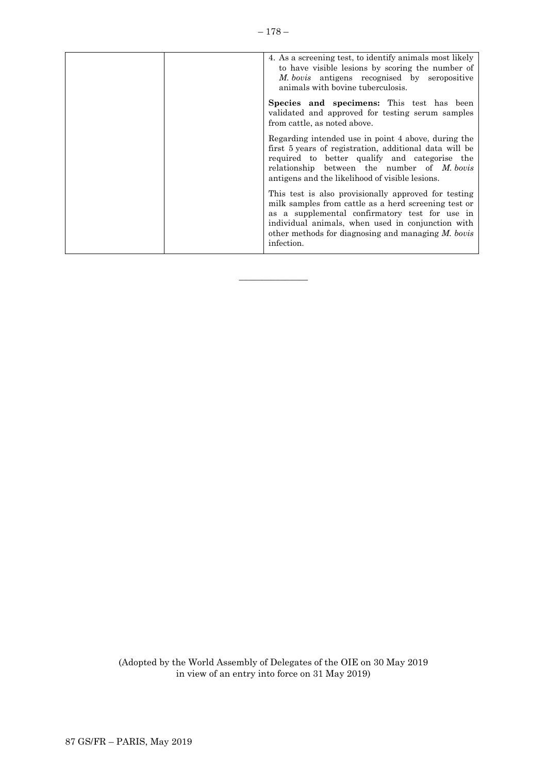| 4. As a screening test, to identify animals most likely<br>to have visible lesions by scoring the number of<br><i>M. bovis</i> antigens recognised by seropositive<br>animals with bovine tuberculosis.                                                                                    |
|--------------------------------------------------------------------------------------------------------------------------------------------------------------------------------------------------------------------------------------------------------------------------------------------|
| Species and specimens: This test has been<br>validated and approved for testing serum samples<br>from cattle, as noted above.                                                                                                                                                              |
| Regarding intended use in point 4 above, during the<br>first 5 years of registration, additional data will be<br>required to better qualify and categorise the<br>relationship between the number of M. bovis<br>antigens and the likelihood of visible lesions.                           |
| This test is also provisionally approved for testing<br>milk samples from cattle as a herd screening test or<br>as a supplemental confirmatory test for use in<br>individual animals, when used in conjunction with<br>other methods for diagnosing and managing $M$ , bovis<br>infection. |

 $\overline{\phantom{a}}$  , where  $\overline{\phantom{a}}$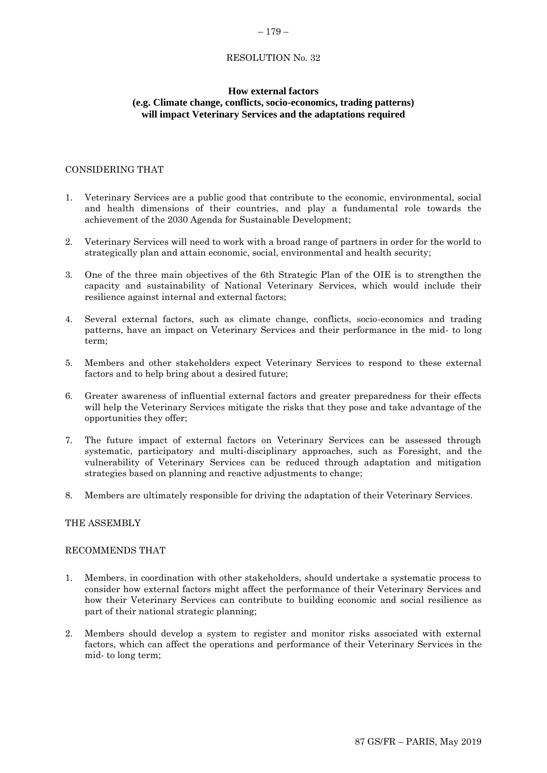#### <span id="page-56-0"></span>– 179 –

## RESOLUTION No. 32

## **How external factors (e.g. Climate change, conflicts, socio-economics, trading patterns) will impact Veterinary Services and the adaptations required**

#### CONSIDERING THAT

- 1. Veterinary Services are a public good that contribute to the economic, environmental, social and health dimensions of their countries, and play a fundamental role towards the achievement of the 2030 Agenda for Sustainable Development;
- 2. Veterinary Services will need to work with a broad range of partners in order for the world to strategically plan and attain economic, social, environmental and health security;
- 3. One of the three main objectives of the 6th Strategic Plan of the OIE is to strengthen the capacity and sustainability of National Veterinary Services, which would include their resilience against internal and external factors;
- 4. Several external factors, such as climate change, conflicts, socio-economics and trading patterns, have an impact on Veterinary Services and their performance in the mid- to long term;
- 5. Members and other stakeholders expect Veterinary Services to respond to these external factors and to help bring about a desired future;
- 6. Greater awareness of influential external factors and greater preparedness for their effects will help the Veterinary Services mitigate the risks that they pose and take advantage of the opportunities they offer;
- 7. The future impact of external factors on Veterinary Services can be assessed through systematic, participatory and multi-disciplinary approaches, such as Foresight, and the vulnerability of Veterinary Services can be reduced through adaptation and mitigation strategies based on planning and reactive adjustments to change;
- 8. Members are ultimately responsible for driving the adaptation of their Veterinary Services.

#### THE ASSEMBLY

#### RECOMMENDS THAT

- 1. Members, in coordination with other stakeholders, should undertake a systematic process to consider how external factors might affect the performance of their Veterinary Services and how their Veterinary Services can contribute to building economic and social resilience as part of their national strategic planning;
- 2. Members should develop a system to register and monitor risks associated with external factors, which can affect the operations and performance of their Veterinary Services in the mid- to long term;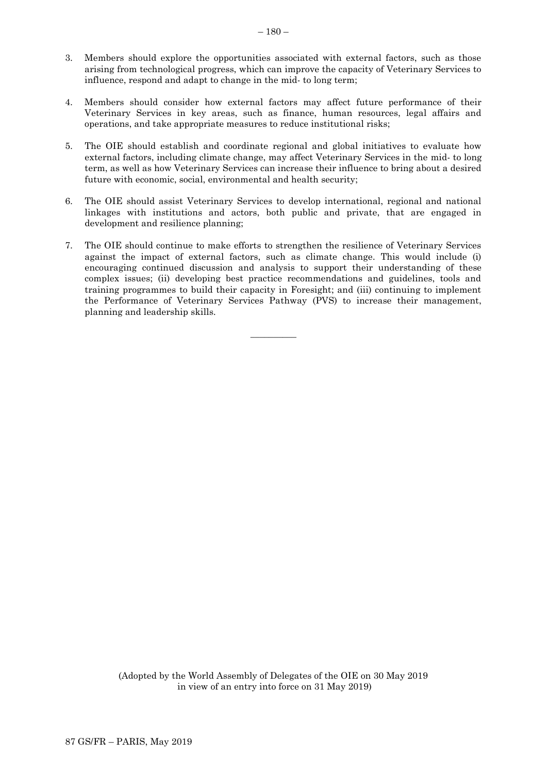- 3. Members should explore the opportunities associated with external factors, such as those arising from technological progress, which can improve the capacity of Veterinary Services to influence, respond and adapt to change in the mid- to long term;
- 4. Members should consider how external factors may affect future performance of their Veterinary Services in key areas, such as finance, human resources, legal affairs and operations, and take appropriate measures to reduce institutional risks;
- 5. The OIE should establish and coordinate regional and global initiatives to evaluate how external factors, including climate change, may affect Veterinary Services in the mid- to long term, as well as how Veterinary Services can increase their influence to bring about a desired future with economic, social, environmental and health security;
- 6. The OIE should assist Veterinary Services to develop international, regional and national linkages with institutions and actors, both public and private, that are engaged in development and resilience planning;
- 7. The OIE should continue to make efforts to strengthen the resilience of Veterinary Services against the impact of external factors, such as climate change. This would include (i) encouraging continued discussion and analysis to support their understanding of these complex issues; (ii) developing best practice recommendations and guidelines, tools and training programmes to build their capacity in Foresight; and (iii) continuing to implement the Performance of Veterinary Services Pathway (PVS) to increase their management, planning and leadership skills.

 $\overline{\phantom{a}}$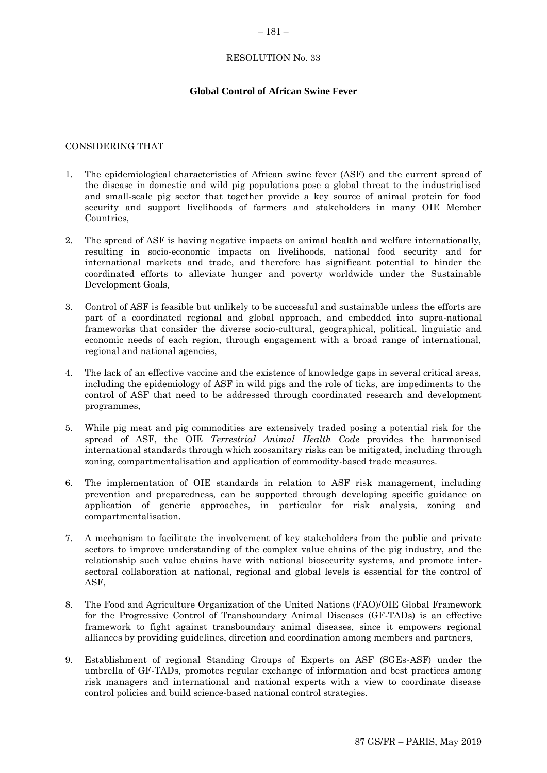#### <span id="page-58-0"></span> $-181-$

## RESOLUTION No. 33

## **Global Control of African Swine Fever**

#### CONSIDERING THAT

- 1. The epidemiological characteristics of African swine fever (ASF) and the current spread of the disease in domestic and wild pig populations pose a global threat to the industrialised and small-scale pig sector that together provide a key source of animal protein for food security and support livelihoods of farmers and stakeholders in many OIE Member Countries,
- 2. The spread of ASF is having negative impacts on animal health and welfare internationally, resulting in socio-economic impacts on livelihoods, national food security and for international markets and trade, and therefore has significant potential to hinder the coordinated efforts to alleviate hunger and poverty worldwide under the Sustainable Development Goals,
- 3. Control of ASF is feasible but unlikely to be successful and sustainable unless the efforts are part of a coordinated regional and global approach, and embedded into supra-national frameworks that consider the diverse socio-cultural, geographical, political, linguistic and economic needs of each region, through engagement with a broad range of international, regional and national agencies,
- 4. The lack of an effective vaccine and the existence of knowledge gaps in several critical areas, including the epidemiology of ASF in wild pigs and the role of ticks, are impediments to the control of ASF that need to be addressed through coordinated research and development programmes,
- 5. While pig meat and pig commodities are extensively traded posing a potential risk for the spread of ASF, the OIE *Terrestrial Animal Health Code* provides the harmonised international standards through which zoosanitary risks can be mitigated, including through zoning, compartmentalisation and application of commodity-based trade measures.
- 6. The implementation of OIE standards in relation to ASF risk management, including prevention and preparedness, can be supported through developing specific guidance on application of generic approaches, in particular for risk analysis, zoning and compartmentalisation.
- 7. A mechanism to facilitate the involvement of key stakeholders from the public and private sectors to improve understanding of the complex value chains of the pig industry, and the relationship such value chains have with national biosecurity systems, and promote intersectoral collaboration at national, regional and global levels is essential for the control of ASF,
- 8. The Food and Agriculture Organization of the United Nations (FAO)/OIE Global Framework for the Progressive Control of Transboundary Animal Diseases (GF-TADs) is an effective framework to fight against transboundary animal diseases, since it empowers regional alliances by providing guidelines, direction and coordination among members and partners,
- 9. Establishment of regional Standing Groups of Experts on ASF (SGEs-ASF) under the umbrella of GF-TADs, promotes regular exchange of information and best practices among risk managers and international and national experts with a view to coordinate disease control policies and build science-based national control strategies.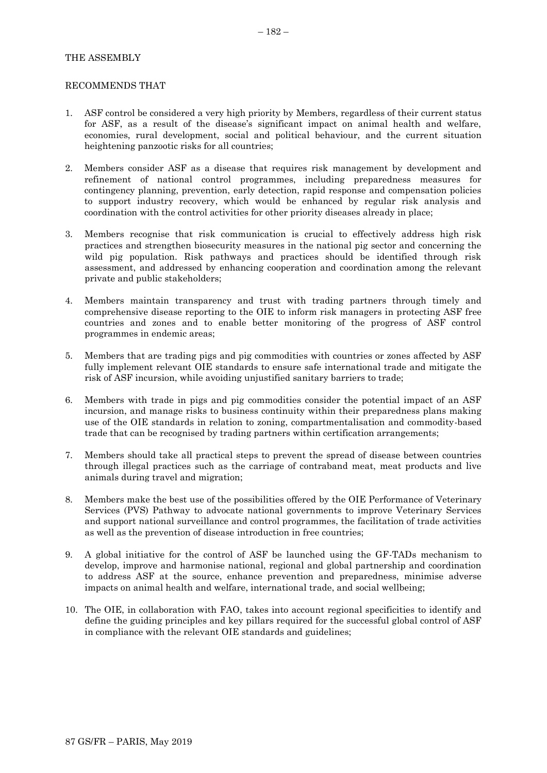## THE ASSEMBLY

#### RECOMMENDS THAT

- 1. ASF control be considered a very high priority by Members, regardless of their current status for ASF, as a result of the disease's significant impact on animal health and welfare, economies, rural development, social and political behaviour, and the current situation heightening panzootic risks for all countries;
- 2. Members consider ASF as a disease that requires risk management by development and refinement of national control programmes, including preparedness measures for contingency planning, prevention, early detection, rapid response and compensation policies to support industry recovery, which would be enhanced by regular risk analysis and coordination with the control activities for other priority diseases already in place;
- 3. Members recognise that risk communication is crucial to effectively address high risk practices and strengthen biosecurity measures in the national pig sector and concerning the wild pig population. Risk pathways and practices should be identified through risk assessment, and addressed by enhancing cooperation and coordination among the relevant private and public stakeholders;
- 4. Members maintain transparency and trust with trading partners through timely and comprehensive disease reporting to the OIE to inform risk managers in protecting ASF free countries and zones and to enable better monitoring of the progress of ASF control programmes in endemic areas;
- 5. Members that are trading pigs and pig commodities with countries or zones affected by ASF fully implement relevant OIE standards to ensure safe international trade and mitigate the risk of ASF incursion, while avoiding unjustified sanitary barriers to trade;
- 6. Members with trade in pigs and pig commodities consider the potential impact of an ASF incursion, and manage risks to business continuity within their preparedness plans making use of the OIE standards in relation to zoning, compartmentalisation and commodity-based trade that can be recognised by trading partners within certification arrangements;
- 7. Members should take all practical steps to prevent the spread of disease between countries through illegal practices such as the carriage of contraband meat, meat products and live animals during travel and migration;
- 8. Members make the best use of the possibilities offered by the OIE Performance of Veterinary Services (PVS) Pathway to advocate national governments to improve Veterinary Services and support national surveillance and control programmes, the facilitation of trade activities as well as the prevention of disease introduction in free countries;
- 9. A global initiative for the control of ASF be launched using the GF-TADs mechanism to develop, improve and harmonise national, regional and global partnership and coordination to address ASF at the source, enhance prevention and preparedness, minimise adverse impacts on animal health and welfare, international trade, and social wellbeing;
- 10. The OIE, in collaboration with FAO, takes into account regional specificities to identify and define the guiding principles and key pillars required for the successful global control of ASF in compliance with the relevant OIE standards and guidelines;